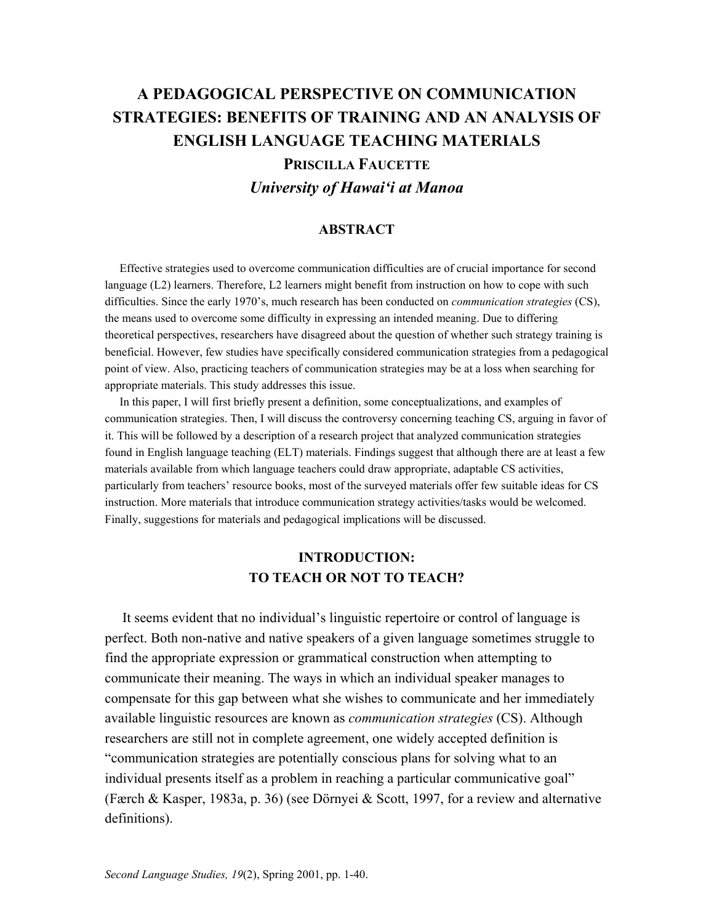# **A PEDAGOGICAL PERSPECTIVE ON COMMUNICATION STRATEGIES: BENEFITS OF TRAINING AND AN ANALYSIS OF ENGLISH LANGUAGE TEACHING MATERIALS**

**PRISCILLA FAUCETTE**

*University of Hawai'i at Manoa* 

#### **ABSTRACT**

 Effective strategies used to overcome communication difficulties are of crucial importance for second language (L2) learners. Therefore, L2 learners might benefit from instruction on how to cope with such difficulties. Since the early 1970's, much research has been conducted on *communication strategies* (CS), the means used to overcome some difficulty in expressing an intended meaning. Due to differing theoretical perspectives, researchers have disagreed about the question of whether such strategy training is beneficial. However, few studies have specifically considered communication strategies from a pedagogical point of view. Also, practicing teachers of communication strategies may be at a loss when searching for appropriate materials. This study addresses this issue.

 In this paper, I will first briefly present a definition, some conceptualizations, and examples of communication strategies. Then, I will discuss the controversy concerning teaching CS, arguing in favor of it. This will be followed by a description of a research project that analyzed communication strategies found in English language teaching (ELT) materials. Findings suggest that although there are at least a few materials available from which language teachers could draw appropriate, adaptable CS activities, particularly from teachers' resource books, most of the surveyed materials offer few suitable ideas for CS instruction. More materials that introduce communication strategy activities/tasks would be welcomed. Finally, suggestions for materials and pedagogical implications will be discussed.

## **INTRODUCTION: TO TEACH OR NOT TO TEACH?**

 It seems evident that no individual's linguistic repertoire or control of language is perfect. Both non-native and native speakers of a given language sometimes struggle to find the appropriate expression or grammatical construction when attempting to communicate their meaning. The ways in which an individual speaker manages to compensate for this gap between what she wishes to communicate and her immediately available linguistic resources are known as *communication strategies* (CS). Although researchers are still not in complete agreement, one widely accepted definition is "communication strategies are potentially conscious plans for solving what to an individual presents itself as a problem in reaching a particular communicative goal" (Færch & Kasper, 1983a, p. 36) (see Dörnyei & Scott, 1997, for a review and alternative definitions).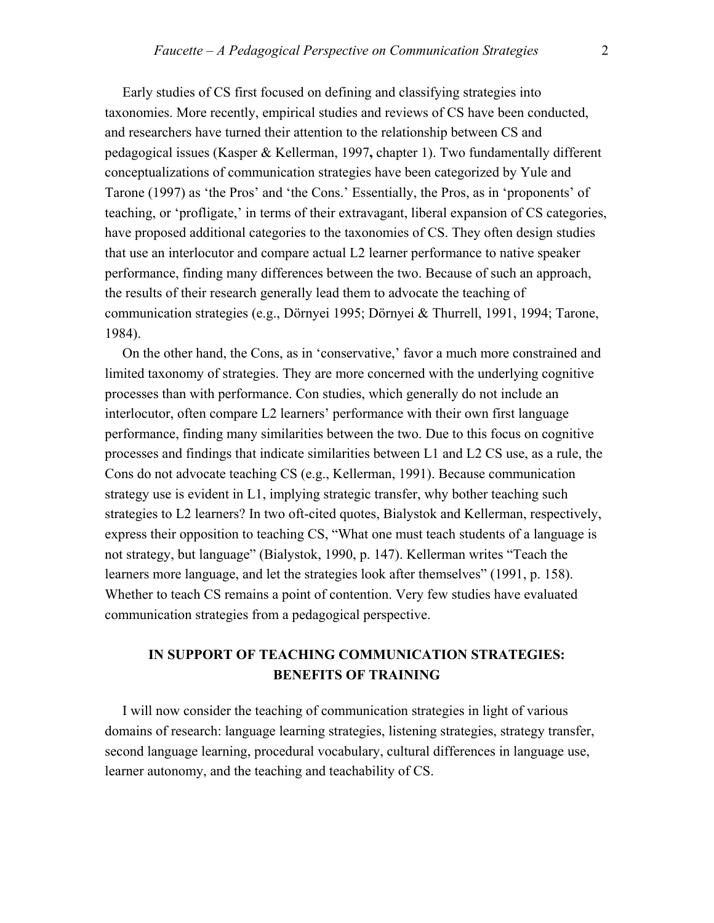Early studies of CS first focused on defining and classifying strategies into taxonomies. More recently, empirical studies and reviews of CS have been conducted, and researchers have turned their attention to the relationship between CS and pedagogical issues (Kasper & Kellerman, 1997**,** chapter 1). Two fundamentally different conceptualizations of communication strategies have been categorized by Yule and Tarone (1997) as 'the Pros' and 'the Cons.' Essentially, the Pros, as in 'proponents' of teaching, or 'profligate,' in terms of their extravagant, liberal expansion of CS categories, have proposed additional categories to the taxonomies of CS. They often design studies that use an interlocutor and compare actual L2 learner performance to native speaker performance, finding many differences between the two. Because of such an approach, the results of their research generally lead them to advocate the teaching of communication strategies (e.g., Dörnyei 1995; Dörnyei & Thurrell, 1991, 1994; Tarone, 1984).

 On the other hand, the Cons, as in 'conservative,' favor a much more constrained and limited taxonomy of strategies. They are more concerned with the underlying cognitive processes than with performance. Con studies, which generally do not include an interlocutor, often compare L2 learners' performance with their own first language performance, finding many similarities between the two. Due to this focus on cognitive processes and findings that indicate similarities between L1 and L2 CS use, as a rule, the Cons do not advocate teaching CS (e.g., Kellerman, 1991). Because communication strategy use is evident in L1, implying strategic transfer, why bother teaching such strategies to L2 learners? In two oft-cited quotes, Bialystok and Kellerman, respectively, express their opposition to teaching CS, "What one must teach students of a language is not strategy, but language" (Bialystok, 1990, p. 147). Kellerman writes "Teach the learners more language, and let the strategies look after themselves" (1991, p. 158). Whether to teach CS remains a point of contention. Very few studies have evaluated communication strategies from a pedagogical perspective.

## **IN SUPPORT OF TEACHING COMMUNICATION STRATEGIES: BENEFITS OF TRAINING**

 I will now consider the teaching of communication strategies in light of various domains of research: language learning strategies, listening strategies, strategy transfer, second language learning, procedural vocabulary, cultural differences in language use, learner autonomy, and the teaching and teachability of CS.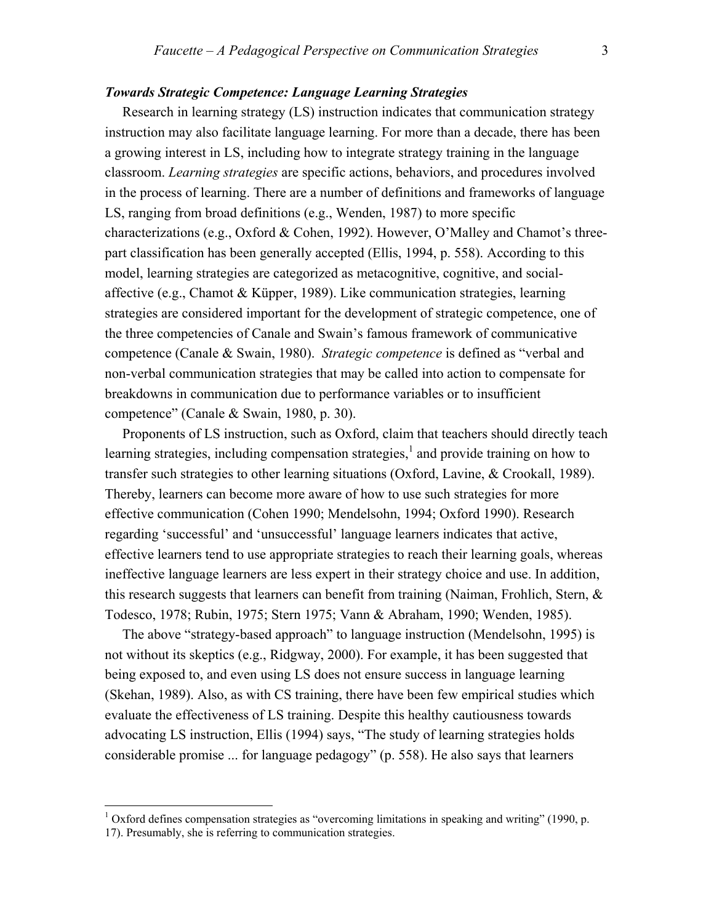#### *Towards Strategic Competence: Language Learning Strategies*

Research in learning strategy (LS) instruction indicates that communication strategy instruction may also facilitate language learning. For more than a decade, there has been a growing interest in LS, including how to integrate strategy training in the language classroom. *Learning strategies* are specific actions, behaviors, and procedures involved in the process of learning. There are a number of definitions and frameworks of language LS, ranging from broad definitions (e.g., Wenden, 1987) to more specific characterizations (e.g., Oxford & Cohen, 1992). However, O'Malley and Chamot's threepart classification has been generally accepted (Ellis, 1994, p. 558). According to this model, learning strategies are categorized as metacognitive, cognitive, and socialaffective (e.g., Chamot & Küpper, 1989). Like communication strategies, learning strategies are considered important for the development of strategic competence, one of the three competencies of Canale and Swain's famous framework of communicative competence (Canale & Swain, 1980). *Strategic competence* is defined as "verbal and non-verbal communication strategies that may be called into action to compensate for breakdowns in communication due to performance variables or to insufficient competence" (Canale & Swain, 1980, p. 30).

 Proponents of LS instruction, such as Oxford, claim that teachers should directly teach learning strategies, including compensation strategies, $<sup>1</sup>$  $<sup>1</sup>$  $<sup>1</sup>$  and provide training on how to</sup> transfer such strategies to other learning situations (Oxford, Lavine, & Crookall, 1989). Thereby, learners can become more aware of how to use such strategies for more effective communication (Cohen 1990; Mendelsohn, 1994; Oxford 1990). Research regarding 'successful' and 'unsuccessful' language learners indicates that active, effective learners tend to use appropriate strategies to reach their learning goals, whereas ineffective language learners are less expert in their strategy choice and use. In addition, this research suggests that learners can benefit from training (Naiman, Frohlich, Stern,  $\&$ Todesco, 1978; Rubin, 1975; Stern 1975; Vann & Abraham, 1990; Wenden, 1985).

The above "strategy-based approach" to language instruction (Mendelsohn, 1995) is not without its skeptics (e.g., Ridgway, 2000). For example, it has been suggested that being exposed to, and even using LS does not ensure success in language learning (Skehan, 1989). Also, as with CS training, there have been few empirical studies which evaluate the effectiveness of LS training. Despite this healthy cautiousness towards advocating LS instruction, Ellis (1994) says, "The study of learning strategies holds considerable promise ... for language pedagogy" (p. 558). He also says that learners

 $\overline{a}$ 

<span id="page-2-0"></span> $1$  Oxford defines compensation strategies as "overcoming limitations in speaking and writing" (1990, p.

<sup>17).</sup> Presumably, she is referring to communication strategies.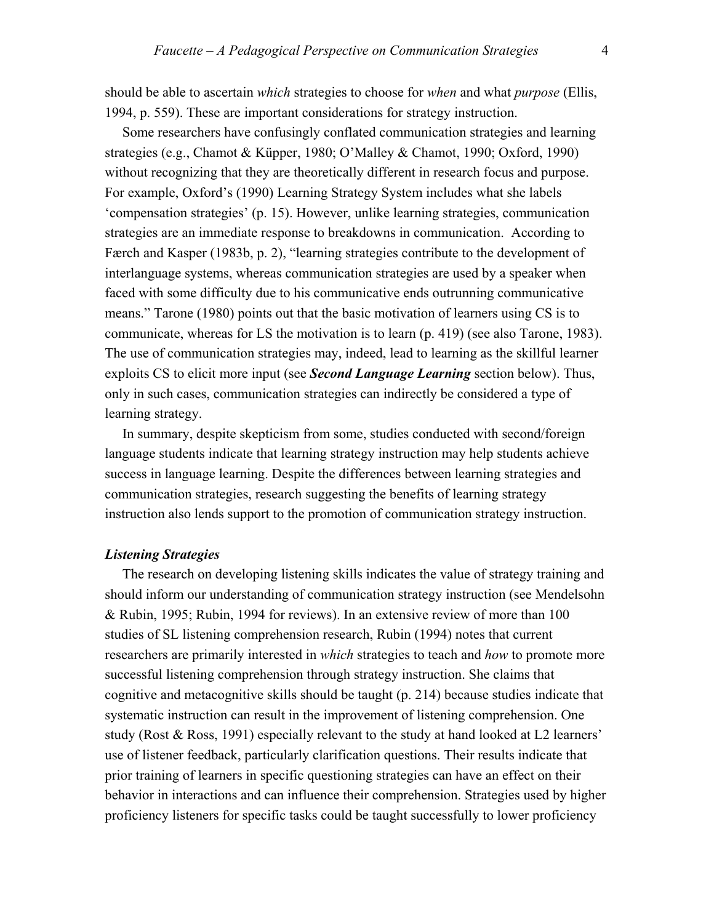should be able to ascertain *which* strategies to choose for *when* and what *purpose* (Ellis, 1994, p. 559). These are important considerations for strategy instruction.

 Some researchers have confusingly conflated communication strategies and learning strategies (e.g., Chamot & Küpper, 1980; O'Malley & Chamot, 1990; Oxford, 1990) without recognizing that they are theoretically different in research focus and purpose. For example, Oxford's (1990) Learning Strategy System includes what she labels 'compensation strategies' (p. 15). However, unlike learning strategies, communication strategies are an immediate response to breakdowns in communication. According to Færch and Kasper (1983b, p. 2), "learning strategies contribute to the development of interlanguage systems, whereas communication strategies are used by a speaker when faced with some difficulty due to his communicative ends outrunning communicative means." Tarone (1980) points out that the basic motivation of learners using CS is to communicate, whereas for LS the motivation is to learn (p. 419) (see also Tarone, 1983). The use of communication strategies may, indeed, lead to learning as the skillful learner exploits CS to elicit more input (see *Second Language Learning* section below). Thus, only in such cases, communication strategies can indirectly be considered a type of learning strategy.

 In summary, despite skepticism from some, studies conducted with second/foreign language students indicate that learning strategy instruction may help students achieve success in language learning. Despite the differences between learning strategies and communication strategies, research suggesting the benefits of learning strategy instruction also lends support to the promotion of communication strategy instruction.

#### *Listening Strategies*

 The research on developing listening skills indicates the value of strategy training and should inform our understanding of communication strategy instruction (see Mendelsohn & Rubin, 1995; Rubin, 1994 for reviews). In an extensive review of more than 100 studies of SL listening comprehension research, Rubin (1994) notes that current researchers are primarily interested in *which* strategies to teach and *how* to promote more successful listening comprehension through strategy instruction. She claims that cognitive and metacognitive skills should be taught (p. 214) because studies indicate that systematic instruction can result in the improvement of listening comprehension. One study (Rost & Ross, 1991) especially relevant to the study at hand looked at L2 learners' use of listener feedback, particularly clarification questions. Their results indicate that prior training of learners in specific questioning strategies can have an effect on their behavior in interactions and can influence their comprehension. Strategies used by higher proficiency listeners for specific tasks could be taught successfully to lower proficiency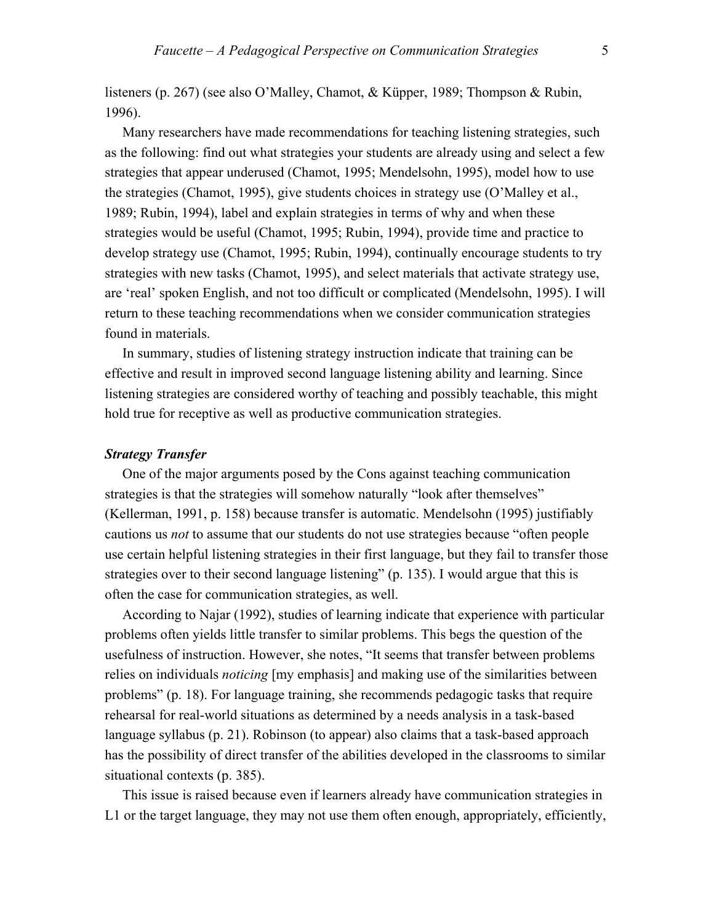listeners (p. 267) (see also O'Malley, Chamot, & Küpper, 1989; Thompson & Rubin, 1996).

 Many researchers have made recommendations for teaching listening strategies, such as the following: find out what strategies your students are already using and select a few strategies that appear underused (Chamot, 1995; Mendelsohn, 1995), model how to use the strategies (Chamot, 1995), give students choices in strategy use (O'Malley et al., 1989; Rubin, 1994), label and explain strategies in terms of why and when these strategies would be useful (Chamot, 1995; Rubin, 1994), provide time and practice to develop strategy use (Chamot, 1995; Rubin, 1994), continually encourage students to try strategies with new tasks (Chamot, 1995), and select materials that activate strategy use, are 'real' spoken English, and not too difficult or complicated (Mendelsohn, 1995). I will return to these teaching recommendations when we consider communication strategies found in materials.

 In summary, studies of listening strategy instruction indicate that training can be effective and result in improved second language listening ability and learning. Since listening strategies are considered worthy of teaching and possibly teachable, this might hold true for receptive as well as productive communication strategies.

#### *Strategy Transfer*

 One of the major arguments posed by the Cons against teaching communication strategies is that the strategies will somehow naturally "look after themselves" (Kellerman, 1991, p. 158) because transfer is automatic. Mendelsohn (1995) justifiably cautions us *not* to assume that our students do not use strategies because "often people use certain helpful listening strategies in their first language, but they fail to transfer those strategies over to their second language listening" (p. 135). I would argue that this is often the case for communication strategies, as well.

 According to Najar (1992), studies of learning indicate that experience with particular problems often yields little transfer to similar problems. This begs the question of the usefulness of instruction. However, she notes, "It seems that transfer between problems relies on individuals *noticing* [my emphasis] and making use of the similarities between problems" (p. 18). For language training, she recommends pedagogic tasks that require rehearsal for real-world situations as determined by a needs analysis in a task-based language syllabus (p. 21). Robinson (to appear) also claims that a task-based approach has the possibility of direct transfer of the abilities developed in the classrooms to similar situational contexts (p. 385).

 This issue is raised because even if learners already have communication strategies in L1 or the target language, they may not use them often enough, appropriately, efficiently,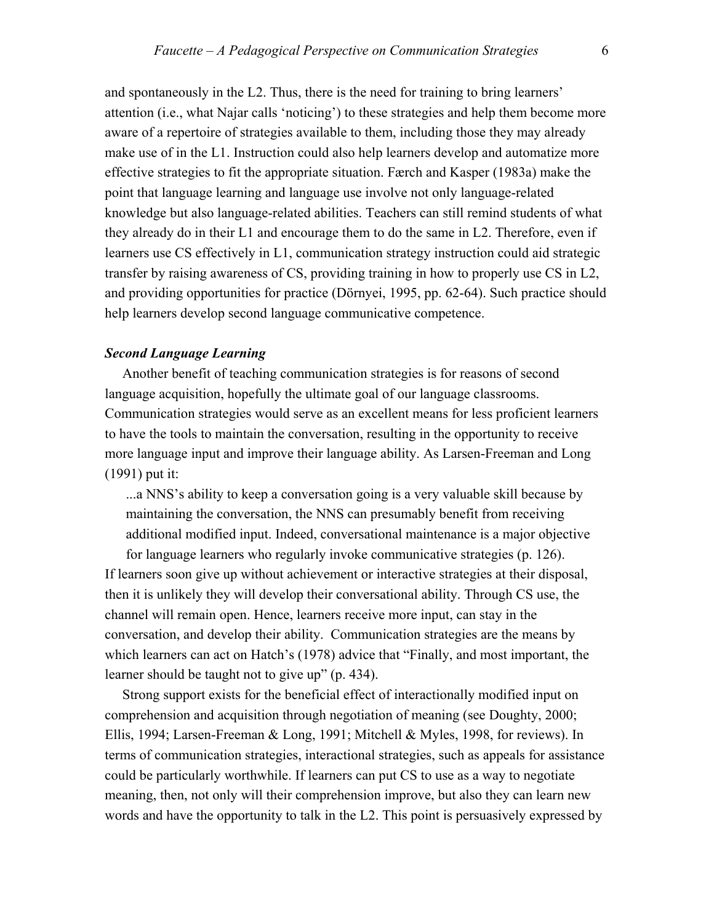and spontaneously in the L2. Thus, there is the need for training to bring learners' attention (i.e., what Najar calls 'noticing') to these strategies and help them become more aware of a repertoire of strategies available to them, including those they may already make use of in the L1. Instruction could also help learners develop and automatize more effective strategies to fit the appropriate situation. Færch and Kasper (1983a) make the point that language learning and language use involve not only language-related knowledge but also language-related abilities. Teachers can still remind students of what they already do in their L1 and encourage them to do the same in L2. Therefore, even if learners use CS effectively in L1, communication strategy instruction could aid strategic transfer by raising awareness of CS, providing training in how to properly use CS in L2, and providing opportunities for practice (Dörnyei, 1995, pp. 62-64). Such practice should help learners develop second language communicative competence.

#### *Second Language Learning*

 Another benefit of teaching communication strategies is for reasons of second language acquisition, hopefully the ultimate goal of our language classrooms. Communication strategies would serve as an excellent means for less proficient learners to have the tools to maintain the conversation, resulting in the opportunity to receive more language input and improve their language ability. As Larsen-Freeman and Long (1991) put it:

...a NNS's ability to keep a conversation going is a very valuable skill because by maintaining the conversation, the NNS can presumably benefit from receiving additional modified input. Indeed, conversational maintenance is a major objective

for language learners who regularly invoke communicative strategies (p. 126). If learners soon give up without achievement or interactive strategies at their disposal, then it is unlikely they will develop their conversational ability. Through CS use, the channel will remain open. Hence, learners receive more input, can stay in the conversation, and develop their ability. Communication strategies are the means by which learners can act on Hatch's (1978) advice that "Finally, and most important, the learner should be taught not to give up" (p. 434).

 Strong support exists for the beneficial effect of interactionally modified input on comprehension and acquisition through negotiation of meaning (see Doughty, 2000; Ellis, 1994; Larsen-Freeman & Long, 1991; Mitchell & Myles, 1998, for reviews). In terms of communication strategies, interactional strategies, such as appeals for assistance could be particularly worthwhile. If learners can put CS to use as a way to negotiate meaning, then, not only will their comprehension improve, but also they can learn new words and have the opportunity to talk in the L2. This point is persuasively expressed by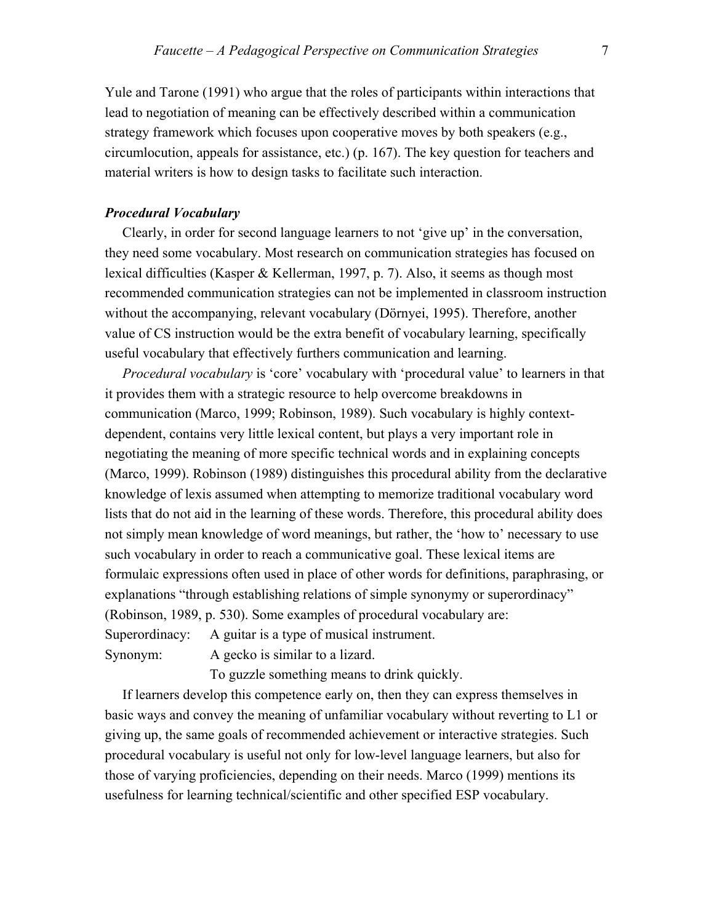Yule and Tarone (1991) who argue that the roles of participants within interactions that lead to negotiation of meaning can be effectively described within a communication strategy framework which focuses upon cooperative moves by both speakers (e.g., circumlocution, appeals for assistance, etc.) (p. 167). The key question for teachers and material writers is how to design tasks to facilitate such interaction.

#### *Procedural Vocabulary*

 Clearly, in order for second language learners to not 'give up' in the conversation, they need some vocabulary. Most research on communication strategies has focused on lexical difficulties (Kasper & Kellerman, 1997, p. 7). Also, it seems as though most recommended communication strategies can not be implemented in classroom instruction without the accompanying, relevant vocabulary (Dörnyei, 1995). Therefore, another value of CS instruction would be the extra benefit of vocabulary learning, specifically useful vocabulary that effectively furthers communication and learning.

 *Procedural vocabulary* is 'core' vocabulary with 'procedural value' to learners in that it provides them with a strategic resource to help overcome breakdowns in communication (Marco, 1999; Robinson, 1989). Such vocabulary is highly contextdependent, contains very little lexical content, but plays a very important role in negotiating the meaning of more specific technical words and in explaining concepts (Marco, 1999). Robinson (1989) distinguishes this procedural ability from the declarative knowledge of lexis assumed when attempting to memorize traditional vocabulary word lists that do not aid in the learning of these words. Therefore, this procedural ability does not simply mean knowledge of word meanings, but rather, the 'how to' necessary to use such vocabulary in order to reach a communicative goal. These lexical items are formulaic expressions often used in place of other words for definitions, paraphrasing, or explanations "through establishing relations of simple synonymy or superordinacy" (Robinson, 1989, p. 530). Some examples of procedural vocabulary are: Superordinacy: A guitar is a type of musical instrument.

Synonym: A gecko is similar to a lizard.

To guzzle something means to drink quickly.

 If learners develop this competence early on, then they can express themselves in basic ways and convey the meaning of unfamiliar vocabulary without reverting to L1 or giving up, the same goals of recommended achievement or interactive strategies. Such procedural vocabulary is useful not only for low-level language learners, but also for those of varying proficiencies, depending on their needs. Marco (1999) mentions its usefulness for learning technical/scientific and other specified ESP vocabulary.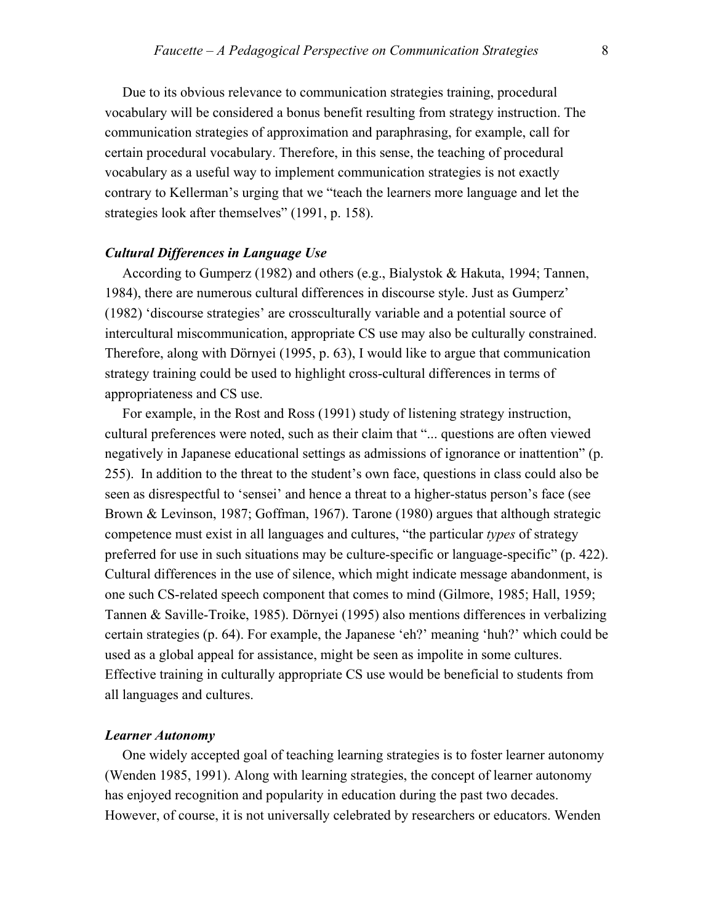Due to its obvious relevance to communication strategies training, procedural vocabulary will be considered a bonus benefit resulting from strategy instruction. The communication strategies of approximation and paraphrasing, for example, call for certain procedural vocabulary. Therefore, in this sense, the teaching of procedural vocabulary as a useful way to implement communication strategies is not exactly contrary to Kellerman's urging that we "teach the learners more language and let the strategies look after themselves" (1991, p. 158).

#### *Cultural Differences in Language Use*

 According to Gumperz (1982) and others (e.g., Bialystok & Hakuta, 1994; Tannen, 1984), there are numerous cultural differences in discourse style. Just as Gumperz' (1982) 'discourse strategies' are crossculturally variable and a potential source of intercultural miscommunication, appropriate CS use may also be culturally constrained. Therefore, along with Dörnyei (1995, p. 63), I would like to argue that communication strategy training could be used to highlight cross-cultural differences in terms of appropriateness and CS use.

 For example, in the Rost and Ross (1991) study of listening strategy instruction, cultural preferences were noted, such as their claim that "... questions are often viewed negatively in Japanese educational settings as admissions of ignorance or inattention" (p. 255). In addition to the threat to the student's own face, questions in class could also be seen as disrespectful to 'sensei' and hence a threat to a higher-status person's face (see Brown & Levinson, 1987; Goffman, 1967). Tarone (1980) argues that although strategic competence must exist in all languages and cultures, "the particular *types* of strategy preferred for use in such situations may be culture-specific or language-specific" (p. 422). Cultural differences in the use of silence, which might indicate message abandonment, is one such CS-related speech component that comes to mind (Gilmore, 1985; Hall, 1959; Tannen & Saville-Troike, 1985). Dörnyei (1995) also mentions differences in verbalizing certain strategies (p. 64). For example, the Japanese 'eh?' meaning 'huh?' which could be used as a global appeal for assistance, might be seen as impolite in some cultures. Effective training in culturally appropriate CS use would be beneficial to students from all languages and cultures.

#### *Learner Autonomy*

One widely accepted goal of teaching learning strategies is to foster learner autonomy (Wenden 1985, 1991). Along with learning strategies, the concept of learner autonomy has enjoyed recognition and popularity in education during the past two decades. However, of course, it is not universally celebrated by researchers or educators. Wenden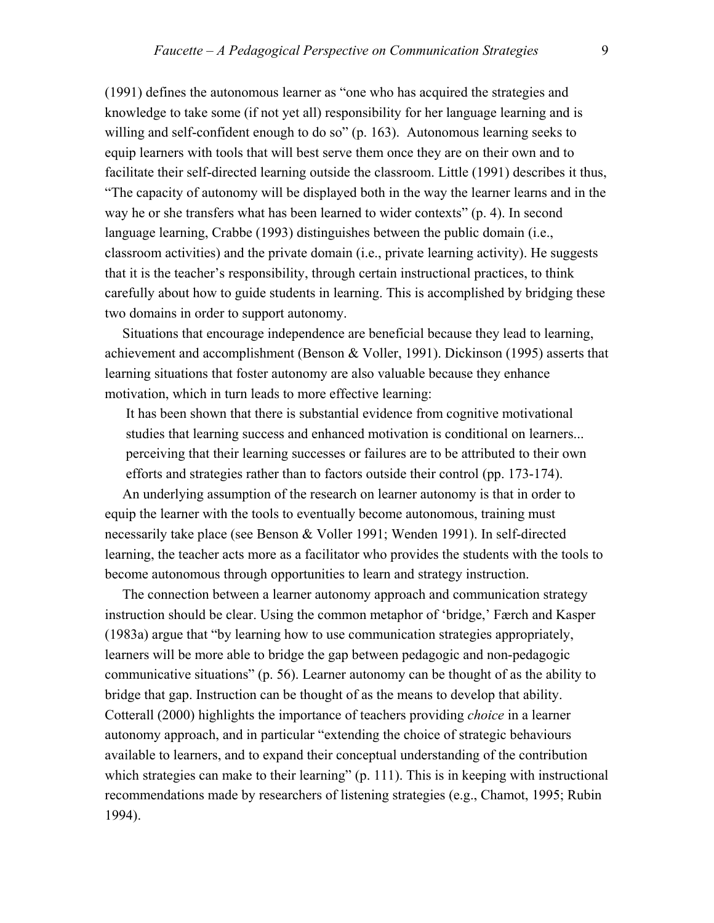(1991) defines the autonomous learner as "one who has acquired the strategies and knowledge to take some (if not yet all) responsibility for her language learning and is willing and self-confident enough to do so" (p. 163). Autonomous learning seeks to equip learners with tools that will best serve them once they are on their own and to facilitate their self-directed learning outside the classroom. Little (1991) describes it thus, "The capacity of autonomy will be displayed both in the way the learner learns and in the way he or she transfers what has been learned to wider contexts" (p. 4). In second language learning, Crabbe (1993) distinguishes between the public domain (i.e., classroom activities) and the private domain (i.e., private learning activity). He suggests that it is the teacher's responsibility, through certain instructional practices, to think carefully about how to guide students in learning. This is accomplished by bridging these two domains in order to support autonomy.

 Situations that encourage independence are beneficial because they lead to learning, achievement and accomplishment (Benson & Voller, 1991). Dickinson (1995) asserts that learning situations that foster autonomy are also valuable because they enhance motivation, which in turn leads to more effective learning:

It has been shown that there is substantial evidence from cognitive motivational studies that learning success and enhanced motivation is conditional on learners... perceiving that their learning successes or failures are to be attributed to their own efforts and strategies rather than to factors outside their control (pp. 173-174).

 An underlying assumption of the research on learner autonomy is that in order to equip the learner with the tools to eventually become autonomous, training must necessarily take place (see Benson & Voller 1991; Wenden 1991). In self-directed learning, the teacher acts more as a facilitator who provides the students with the tools to become autonomous through opportunities to learn and strategy instruction.

 The connection between a learner autonomy approach and communication strategy instruction should be clear. Using the common metaphor of 'bridge,' Færch and Kasper (1983a) argue that "by learning how to use communication strategies appropriately, learners will be more able to bridge the gap between pedagogic and non-pedagogic communicative situations" (p. 56). Learner autonomy can be thought of as the ability to bridge that gap. Instruction can be thought of as the means to develop that ability. Cotterall (2000) highlights the importance of teachers providing *choice* in a learner autonomy approach, and in particular "extending the choice of strategic behaviours available to learners, and to expand their conceptual understanding of the contribution which strategies can make to their learning" (p. 111). This is in keeping with instructional recommendations made by researchers of listening strategies (e.g., Chamot, 1995; Rubin 1994).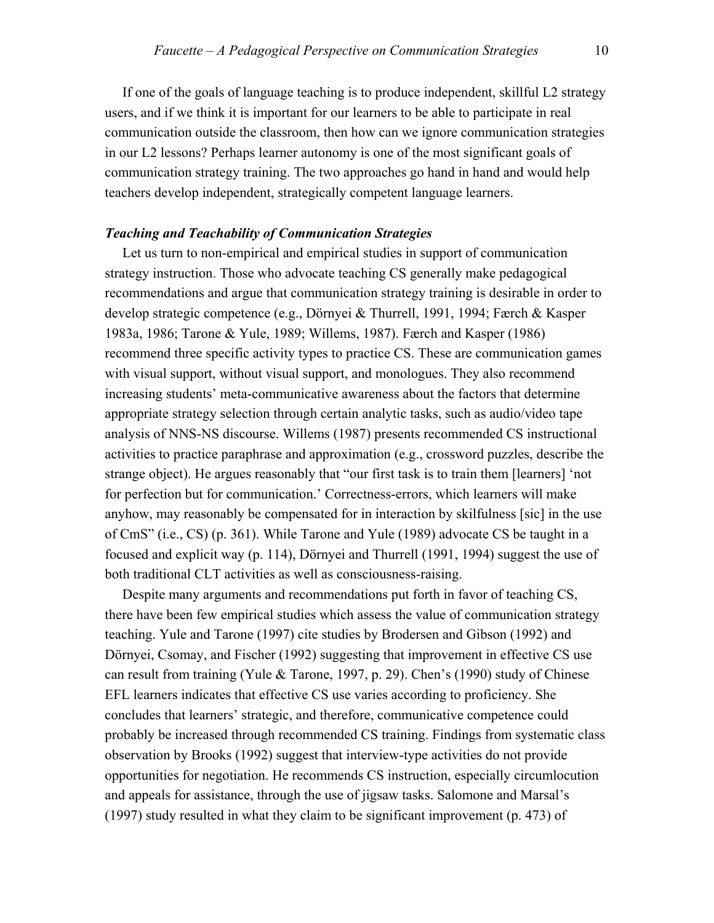If one of the goals of language teaching is to produce independent, skillful L2 strategy users, and if we think it is important for our learners to be able to participate in real communication outside the classroom, then how can we ignore communication strategies in our L2 lessons? Perhaps learner autonomy is one of the most significant goals of communication strategy training. The two approaches go hand in hand and would help teachers develop independent, strategically competent language learners.

#### *Teaching and Teachability of Communication Strategies*

Let us turn to non-empirical and empirical studies in support of communication strategy instruction. Those who advocate teaching CS generally make pedagogical recommendations and argue that communication strategy training is desirable in order to develop strategic competence (e.g., Dörnyei & Thurrell, 1991, 1994; Færch & Kasper 1983a, 1986; Tarone & Yule, 1989; Willems, 1987). Færch and Kasper (1986) recommend three specific activity types to practice CS. These are communication games with visual support, without visual support, and monologues. They also recommend increasing students' meta-communicative awareness about the factors that determine appropriate strategy selection through certain analytic tasks, such as audio/video tape analysis of NNS-NS discourse. Willems (1987) presents recommended CS instructional activities to practice paraphrase and approximation (e.g., crossword puzzles, describe the strange object). He argues reasonably that "our first task is to train them [learners] 'not for perfection but for communication.' Correctness-errors, which learners will make anyhow, may reasonably be compensated for in interaction by skilfulness [sic] in the use of CmS" (i.e., CS) (p. 361). While Tarone and Yule (1989) advocate CS be taught in a focused and explicit way (p. 114), Dörnyei and Thurrell (1991, 1994) suggest the use of both traditional CLT activities as well as consciousness-raising.

Despite many arguments and recommendations put forth in favor of teaching CS, there have been few empirical studies which assess the value of communication strategy teaching. Yule and Tarone (1997) cite studies by Brodersen and Gibson (1992) and Dörnyei, Csomay, and Fischer (1992) suggesting that improvement in effective CS use can result from training (Yule & Tarone, 1997, p. 29). Chen's (1990) study of Chinese EFL learners indicates that effective CS use varies according to proficiency. She concludes that learners' strategic, and therefore, communicative competence could probably be increased through recommended CS training. Findings from systematic class observation by Brooks (1992) suggest that interview-type activities do not provide opportunities for negotiation. He recommends CS instruction, especially circumlocution and appeals for assistance, through the use of jigsaw tasks. Salomone and Marsal's (1997) study resulted in what they claim to be significant improvement (p. 473) of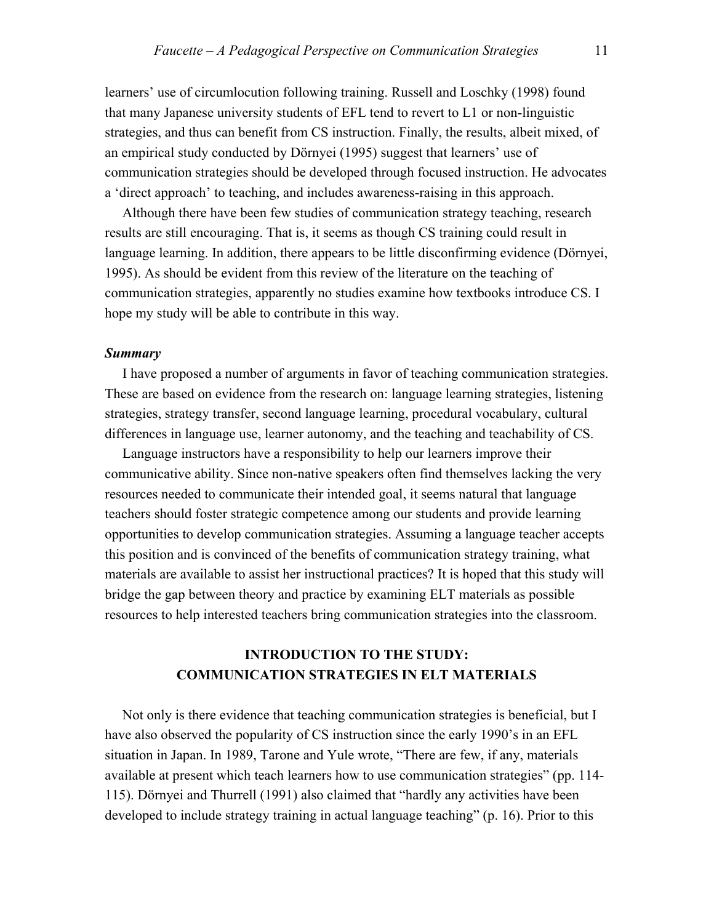learners' use of circumlocution following training. Russell and Loschky (1998) found that many Japanese university students of EFL tend to revert to L1 or non-linguistic strategies, and thus can benefit from CS instruction. Finally, the results, albeit mixed, of an empirical study conducted by Dörnyei (1995) suggest that learners' use of communication strategies should be developed through focused instruction. He advocates a 'direct approach' to teaching, and includes awareness-raising in this approach.

 Although there have been few studies of communication strategy teaching, research results are still encouraging. That is, it seems as though CS training could result in language learning. In addition, there appears to be little disconfirming evidence (Dörnyei, 1995). As should be evident from this review of the literature on the teaching of communication strategies, apparently no studies examine how textbooks introduce CS. I hope my study will be able to contribute in this way.

#### *Summary*

 I have proposed a number of arguments in favor of teaching communication strategies. These are based on evidence from the research on: language learning strategies, listening strategies, strategy transfer, second language learning, procedural vocabulary, cultural differences in language use, learner autonomy, and the teaching and teachability of CS.

 Language instructors have a responsibility to help our learners improve their communicative ability. Since non-native speakers often find themselves lacking the very resources needed to communicate their intended goal, it seems natural that language teachers should foster strategic competence among our students and provide learning opportunities to develop communication strategies. Assuming a language teacher accepts this position and is convinced of the benefits of communication strategy training, what materials are available to assist her instructional practices? It is hoped that this study will bridge the gap between theory and practice by examining ELT materials as possible resources to help interested teachers bring communication strategies into the classroom.

## **INTRODUCTION TO THE STUDY: COMMUNICATION STRATEGIES IN ELT MATERIALS**

 Not only is there evidence that teaching communication strategies is beneficial, but I have also observed the popularity of CS instruction since the early 1990's in an EFL situation in Japan. In 1989, Tarone and Yule wrote, "There are few, if any, materials available at present which teach learners how to use communication strategies" (pp. 114- 115). Dörnyei and Thurrell (1991) also claimed that "hardly any activities have been developed to include strategy training in actual language teaching" (p. 16). Prior to this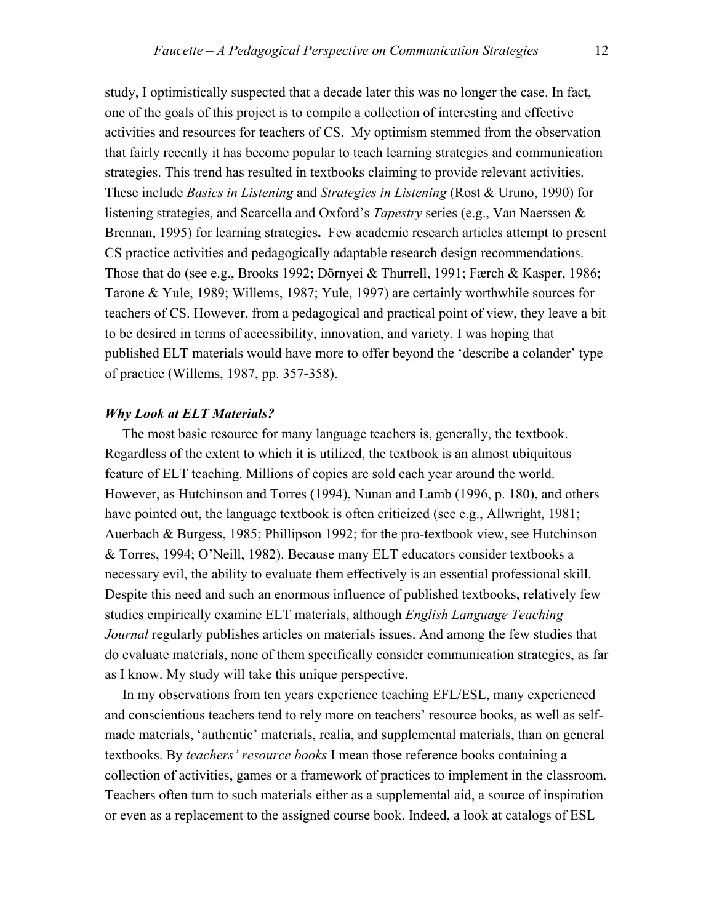study, I optimistically suspected that a decade later this was no longer the case. In fact, one of the goals of this project is to compile a collection of interesting and effective activities and resources for teachers of CS. My optimism stemmed from the observation that fairly recently it has become popular to teach learning strategies and communication strategies. This trend has resulted in textbooks claiming to provide relevant activities. These include *Basics in Listening* and *Strategies in Listening* (Rost & Uruno, 1990) for listening strategies, and Scarcella and Oxford's *Tapestry* series (e.g., Van Naerssen & Brennan, 1995) for learning strategies**.** Few academic research articles attempt to present CS practice activities and pedagogically adaptable research design recommendations. Those that do (see e.g., Brooks 1992; Dörnyei & Thurrell, 1991; Færch & Kasper, 1986; Tarone & Yule, 1989; Willems, 1987; Yule, 1997) are certainly worthwhile sources for teachers of CS. However, from a pedagogical and practical point of view, they leave a bit to be desired in terms of accessibility, innovation, and variety. I was hoping that published ELT materials would have more to offer beyond the 'describe a colander' type of practice (Willems, 1987, pp. 357-358).

#### *Why Look at ELT Materials?*

 The most basic resource for many language teachers is, generally, the textbook. Regardless of the extent to which it is utilized, the textbook is an almost ubiquitous feature of ELT teaching. Millions of copies are sold each year around the world. However, as Hutchinson and Torres (1994), Nunan and Lamb (1996, p. 180), and others have pointed out, the language textbook is often criticized (see e.g., Allwright, 1981; Auerbach & Burgess, 1985; Phillipson 1992; for the pro-textbook view, see Hutchinson & Torres, 1994; O'Neill, 1982). Because many ELT educators consider textbooks a necessary evil, the ability to evaluate them effectively is an essential professional skill. Despite this need and such an enormous influence of published textbooks, relatively few studies empirically examine ELT materials, although *English Language Teaching Journal* regularly publishes articles on materials issues. And among the few studies that do evaluate materials, none of them specifically consider communication strategies, as far as I know. My study will take this unique perspective.

In my observations from ten years experience teaching EFL/ESL, many experienced and conscientious teachers tend to rely more on teachers' resource books, as well as selfmade materials, 'authentic' materials, realia, and supplemental materials, than on general textbooks. By *teachers' resource books* I mean those reference books containing a collection of activities, games or a framework of practices to implement in the classroom. Teachers often turn to such materials either as a supplemental aid, a source of inspiration or even as a replacement to the assigned course book. Indeed, a look at catalogs of ESL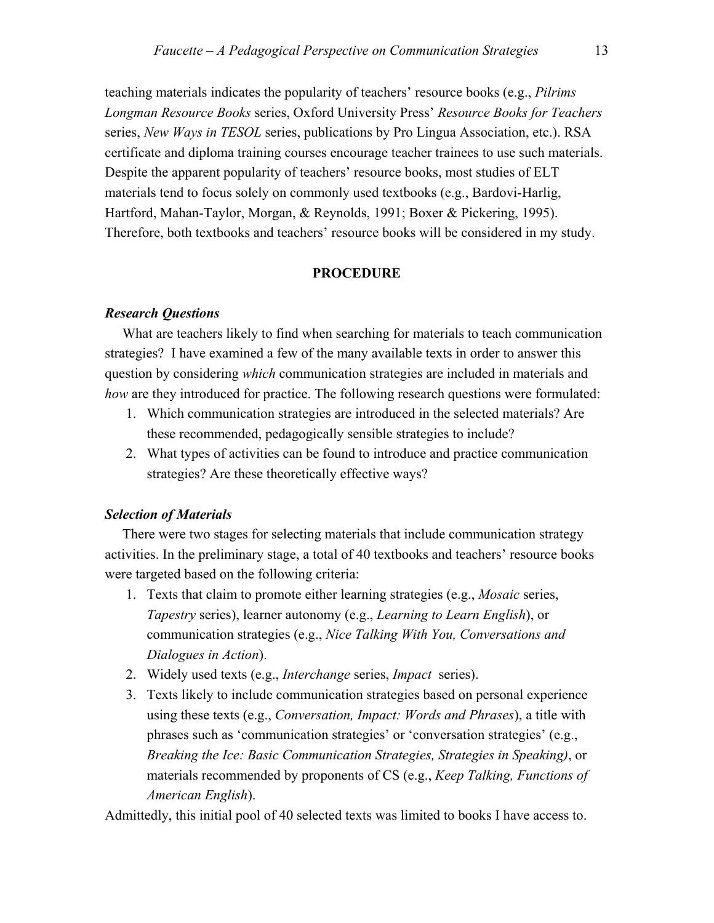teaching materials indicates the popularity of teachers' resource books (e.g., *Pilrims Longman Resource Books* series, Oxford University Press' *Resource Books for Teachers*  series, *New Ways in TESOL* series, publications by Pro Lingua Association, etc.). RSA certificate and diploma training courses encourage teacher trainees to use such materials. Despite the apparent popularity of teachers' resource books, most studies of ELT materials tend to focus solely on commonly used textbooks (e.g., Bardovi-Harlig, Hartford, Mahan-Taylor, Morgan, & Reynolds, 1991; Boxer & Pickering, 1995). Therefore, both textbooks and teachers' resource books will be considered in my study.

#### **PROCEDURE**

#### *Research Questions*

 What are teachers likely to find when searching for materials to teach communication strategies? I have examined a few of the many available texts in order to answer this question by considering *which* communication strategies are included in materials and *how* are they introduced for practice. The following research questions were formulated:

- 1. Which communication strategies are introduced in the selected materials? Are these recommended, pedagogically sensible strategies to include?
- 2. What types of activities can be found to introduce and practice communication strategies? Are these theoretically effective ways?

#### *Selection of Materials*

 There were two stages for selecting materials that include communication strategy activities. In the preliminary stage, a total of 40 textbooks and teachers' resource books were targeted based on the following criteria:

- 1. Texts that claim to promote either learning strategies (e.g., *Mosaic* series, *Tapestry* series), learner autonomy (e.g., *Learning to Learn English*), or communication strategies (e.g., *Nice Talking With You, Conversations and Dialogues in Action*).
- 2. Widely used texts (e.g., *Interchange* series, *Impact* series).
- 3. Texts likely to include communication strategies based on personal experience using these texts (e.g., *Conversation, Impact: Words and Phrases*), a title with phrases such as 'communication strategies' or 'conversation strategies' (e.g., *Breaking the Ice: Basic Communication Strategies, Strategies in Speaking)*, or materials recommended by proponents of CS (e.g., *Keep Talking, Functions of American English*).

Admittedly, this initial pool of 40 selected texts was limited to books I have access to.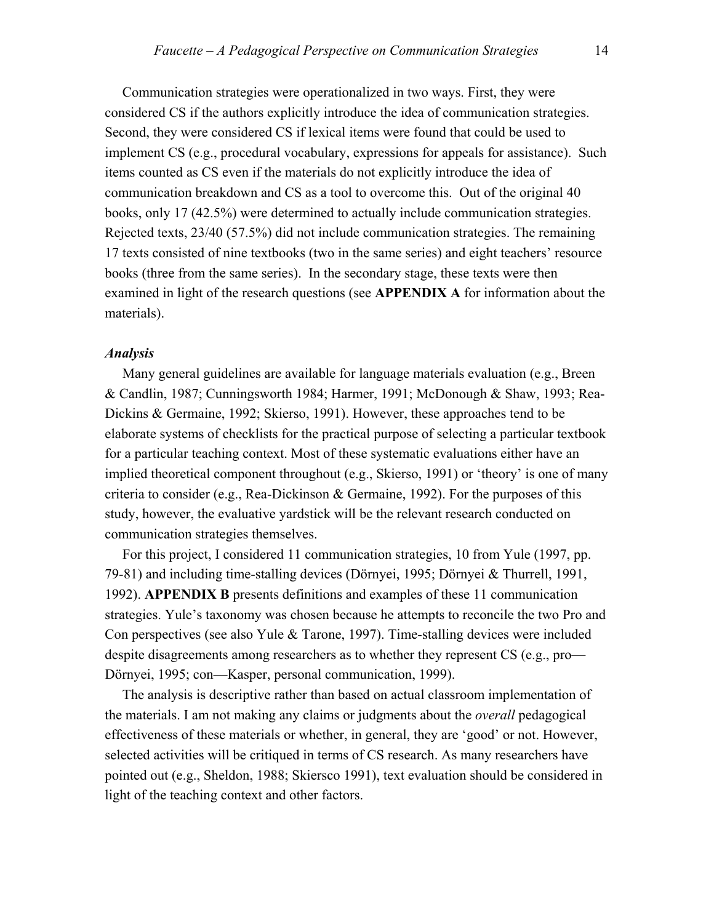Communication strategies were operationalized in two ways. First, they were considered CS if the authors explicitly introduce the idea of communication strategies. Second, they were considered CS if lexical items were found that could be used to implement CS (e.g., procedural vocabulary, expressions for appeals for assistance). Such items counted as CS even if the materials do not explicitly introduce the idea of communication breakdown and CS as a tool to overcome this. Out of the original 40 books, only 17 (42.5%) were determined to actually include communication strategies. Rejected texts, 23/40 (57.5%) did not include communication strategies. The remaining 17 texts consisted of nine textbooks (two in the same series) and eight teachers' resource books (three from the same series). In the secondary stage, these texts were then examined in light of the research questions (see **APPENDIX A** for information about the materials).

#### *Analysis*

 Many general guidelines are available for language materials evaluation (e.g., Breen & Candlin, 1987; Cunningsworth 1984; Harmer, 1991; McDonough & Shaw, 1993; Rea-Dickins & Germaine, 1992; Skierso, 1991). However, these approaches tend to be elaborate systems of checklists for the practical purpose of selecting a particular textbook for a particular teaching context. Most of these systematic evaluations either have an implied theoretical component throughout (e.g., Skierso, 1991) or 'theory' is one of many criteria to consider (e.g., Rea-Dickinson & Germaine, 1992). For the purposes of this study, however, the evaluative yardstick will be the relevant research conducted on communication strategies themselves.

 For this project, I considered 11 communication strategies, 10 from Yule (1997, pp. 79-81) and including time-stalling devices (Dörnyei, 1995; Dörnyei & Thurrell, 1991, 1992). **APPENDIX B** presents definitions and examples of these 11 communication strategies. Yule's taxonomy was chosen because he attempts to reconcile the two Pro and Con perspectives (see also Yule & Tarone, 1997). Time-stalling devices were included despite disagreements among researchers as to whether they represent CS (e.g., pro— Dörnyei, 1995; con—Kasper, personal communication, 1999).

 The analysis is descriptive rather than based on actual classroom implementation of the materials. I am not making any claims or judgments about the *overall* pedagogical effectiveness of these materials or whether, in general, they are 'good' or not. However, selected activities will be critiqued in terms of CS research. As many researchers have pointed out (e.g., Sheldon, 1988; Skiersco 1991), text evaluation should be considered in light of the teaching context and other factors.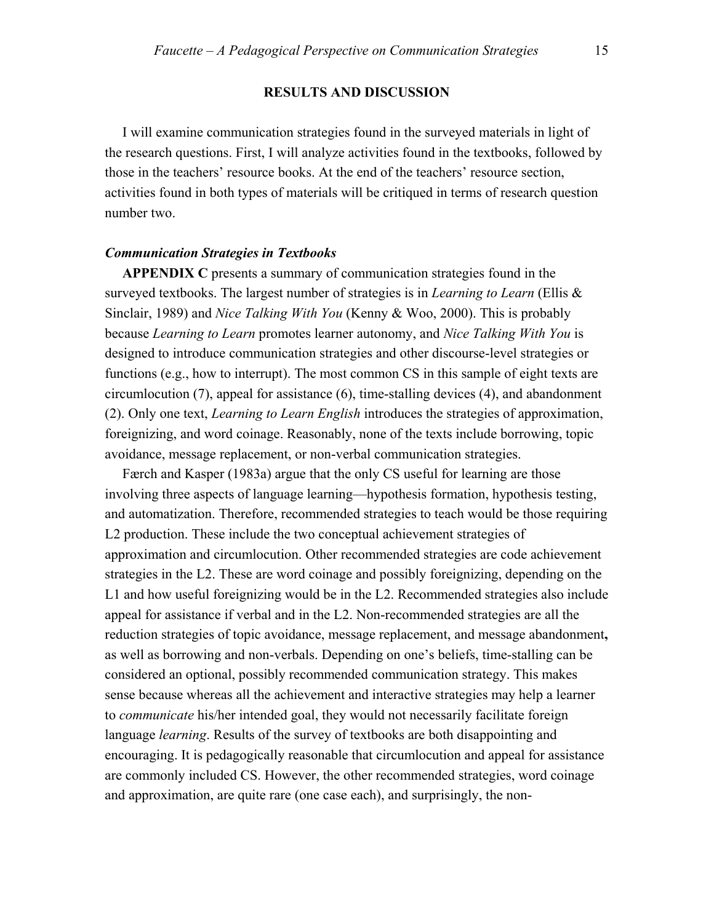#### **RESULTS AND DISCUSSION**

 I will examine communication strategies found in the surveyed materials in light of the research questions. First, I will analyze activities found in the textbooks, followed by those in the teachers' resource books. At the end of the teachers' resource section, activities found in both types of materials will be critiqued in terms of research question number two.

#### *Communication Strategies in Textbooks*

**APPENDIX C** presents a summary of communication strategies found in the surveyed textbooks. The largest number of strategies is in *Learning to Learn* (Ellis & Sinclair, 1989) and *Nice Talking With You* (Kenny & Woo, 2000). This is probably because *Learning to Learn* promotes learner autonomy, and *Nice Talking With You* is designed to introduce communication strategies and other discourse-level strategies or functions (e.g., how to interrupt). The most common CS in this sample of eight texts are circumlocution (7), appeal for assistance (6), time-stalling devices (4), and abandonment (2). Only one text, *Learning to Learn English* introduces the strategies of approximation, foreignizing, and word coinage. Reasonably, none of the texts include borrowing, topic avoidance, message replacement, or non-verbal communication strategies.

 Færch and Kasper (1983a) argue that the only CS useful for learning are those involving three aspects of language learning—hypothesis formation, hypothesis testing, and automatization. Therefore, recommended strategies to teach would be those requiring L2 production. These include the two conceptual achievement strategies of approximation and circumlocution. Other recommended strategies are code achievement strategies in the L2. These are word coinage and possibly foreignizing, depending on the L1 and how useful foreignizing would be in the L2. Recommended strategies also include appeal for assistance if verbal and in the L2. Non-recommended strategies are all the reduction strategies of topic avoidance, message replacement, and message abandonment**,**  as well as borrowing and non-verbals. Depending on one's beliefs, time-stalling can be considered an optional, possibly recommended communication strategy. This makes sense because whereas all the achievement and interactive strategies may help a learner to *communicate* his/her intended goal, they would not necessarily facilitate foreign language *learning*. Results of the survey of textbooks are both disappointing and encouraging. It is pedagogically reasonable that circumlocution and appeal for assistance are commonly included CS. However, the other recommended strategies, word coinage and approximation, are quite rare (one case each), and surprisingly, the non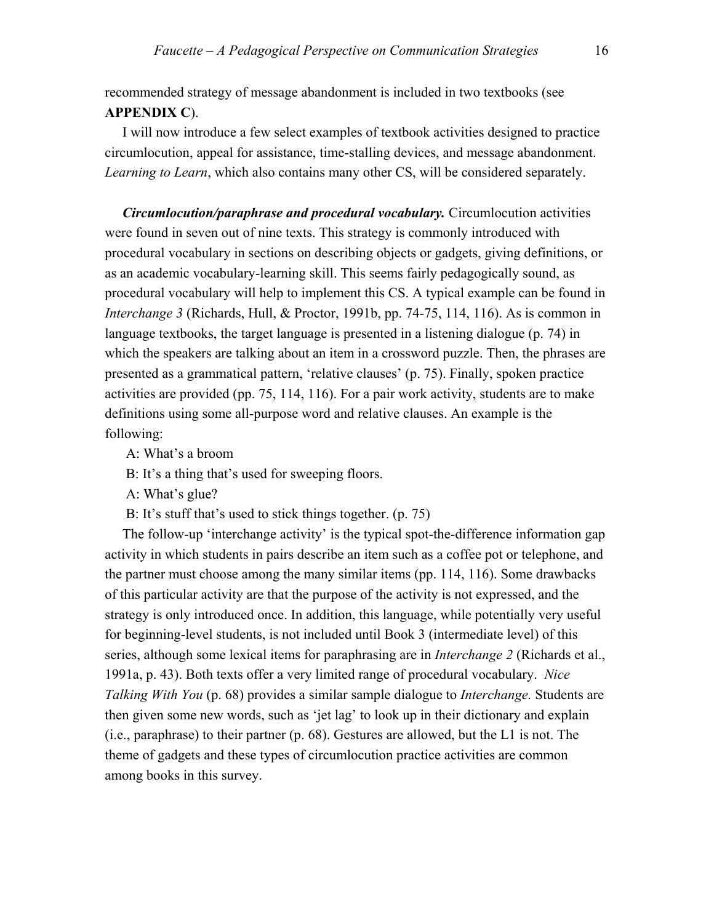recommended strategy of message abandonment is included in two textbooks (see **APPENDIX C**).

 I will now introduce a few select examples of textbook activities designed to practice circumlocution, appeal for assistance, time-stalling devices, and message abandonment. *Learning to Learn*, which also contains many other CS, will be considered separately.

 *Circumlocution/paraphrase and procedural vocabulary.* Circumlocution activities were found in seven out of nine texts. This strategy is commonly introduced with procedural vocabulary in sections on describing objects or gadgets, giving definitions, or as an academic vocabulary-learning skill. This seems fairly pedagogically sound, as procedural vocabulary will help to implement this CS. A typical example can be found in *Interchange 3* (Richards, Hull, & Proctor, 1991b, pp. 74-75, 114, 116). As is common in language textbooks, the target language is presented in a listening dialogue (p. 74) in which the speakers are talking about an item in a crossword puzzle. Then, the phrases are presented as a grammatical pattern, 'relative clauses' (p. 75). Finally, spoken practice activities are provided (pp. 75, 114, 116). For a pair work activity, students are to make definitions using some all-purpose word and relative clauses. An example is the following:

A: What's a broom

B: It's a thing that's used for sweeping floors.

A: What's glue?

B: It's stuff that's used to stick things together. (p. 75)

 The follow-up 'interchange activity' is the typical spot-the-difference information gap activity in which students in pairs describe an item such as a coffee pot or telephone, and the partner must choose among the many similar items (pp. 114, 116). Some drawbacks of this particular activity are that the purpose of the activity is not expressed, and the strategy is only introduced once. In addition, this language, while potentially very useful for beginning-level students, is not included until Book 3 (intermediate level) of this series, although some lexical items for paraphrasing are in *Interchange 2* (Richards et al., 1991a, p. 43). Both texts offer a very limited range of procedural vocabulary. *Nice Talking With You* (p. 68) provides a similar sample dialogue to *Interchange.* Students are then given some new words, such as 'jet lag' to look up in their dictionary and explain (i.e., paraphrase) to their partner (p. 68). Gestures are allowed, but the L1 is not. The theme of gadgets and these types of circumlocution practice activities are common among books in this survey.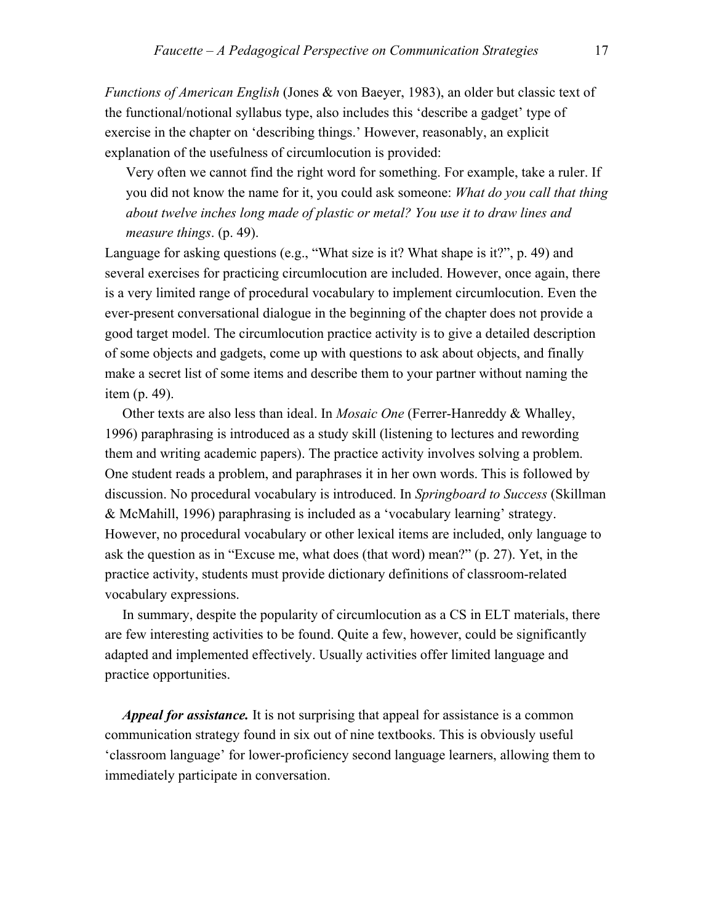*Functions of American English* (Jones & von Baeyer, 1983), an older but classic text of the functional/notional syllabus type, also includes this 'describe a gadget' type of exercise in the chapter on 'describing things.' However, reasonably, an explicit explanation of the usefulness of circumlocution is provided:

Very often we cannot find the right word for something. For example, take a ruler. If you did not know the name for it, you could ask someone: *What do you call that thing about twelve inches long made of plastic or metal? You use it to draw lines and measure things*. (p. 49).

Language for asking questions (e.g., "What size is it? What shape is it?", p. 49) and several exercises for practicing circumlocution are included. However, once again, there is a very limited range of procedural vocabulary to implement circumlocution. Even the ever-present conversational dialogue in the beginning of the chapter does not provide a good target model. The circumlocution practice activity is to give a detailed description of some objects and gadgets, come up with questions to ask about objects, and finally make a secret list of some items and describe them to your partner without naming the item (p. 49).

 Other texts are also less than ideal. In *Mosaic One* (Ferrer-Hanreddy & Whalley, 1996) paraphrasing is introduced as a study skill (listening to lectures and rewording them and writing academic papers). The practice activity involves solving a problem. One student reads a problem, and paraphrases it in her own words. This is followed by discussion. No procedural vocabulary is introduced. In *Springboard to Success* (Skillman & McMahill, 1996) paraphrasing is included as a 'vocabulary learning' strategy. However, no procedural vocabulary or other lexical items are included, only language to ask the question as in "Excuse me, what does (that word) mean?" (p. 27). Yet, in the practice activity, students must provide dictionary definitions of classroom-related vocabulary expressions.

 In summary, despite the popularity of circumlocution as a CS in ELT materials, there are few interesting activities to be found. Quite a few, however, could be significantly adapted and implemented effectively. Usually activities offer limited language and practice opportunities.

 *Appeal for assistance.* It is not surprising that appeal for assistance is a common communication strategy found in six out of nine textbooks. This is obviously useful 'classroom language' for lower-proficiency second language learners, allowing them to immediately participate in conversation.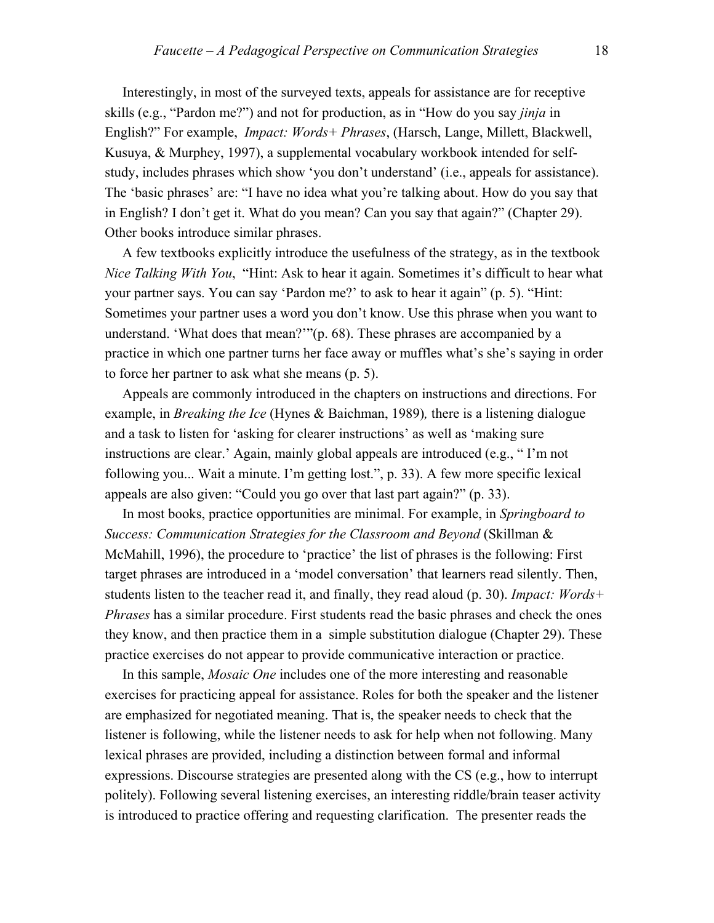Interestingly, in most of the surveyed texts, appeals for assistance are for receptive skills (e.g., "Pardon me?") and not for production, as in "How do you say *jinja* in English?" For example, *Impact: Words+ Phrases*, (Harsch, Lange, Millett, Blackwell, Kusuya, & Murphey, 1997), a supplemental vocabulary workbook intended for selfstudy, includes phrases which show 'you don't understand' (i.e., appeals for assistance). The 'basic phrases' are: "I have no idea what you're talking about. How do you say that in English? I don't get it. What do you mean? Can you say that again?" (Chapter 29). Other books introduce similar phrases.

 A few textbooks explicitly introduce the usefulness of the strategy, as in the textbook *Nice Talking With You*, "Hint: Ask to hear it again. Sometimes it's difficult to hear what your partner says. You can say 'Pardon me?' to ask to hear it again" (p. 5). "Hint: Sometimes your partner uses a word you don't know. Use this phrase when you want to understand. 'What does that mean?'"(p. 68). These phrases are accompanied by a practice in which one partner turns her face away or muffles what's she's saying in order to force her partner to ask what she means (p. 5).

 Appeals are commonly introduced in the chapters on instructions and directions. For example, in *Breaking the Ice* (Hynes & Baichman, 1989)*,* there is a listening dialogue and a task to listen for 'asking for clearer instructions' as well as 'making sure instructions are clear.' Again, mainly global appeals are introduced (e.g., " I'm not following you... Wait a minute. I'm getting lost.", p. 33). A few more specific lexical appeals are also given: "Could you go over that last part again?" (p. 33).

 In most books, practice opportunities are minimal. For example, in *Springboard to Success: Communication Strategies for the Classroom and Beyond* (Skillman & McMahill, 1996), the procedure to 'practice' the list of phrases is the following: First target phrases are introduced in a 'model conversation' that learners read silently. Then, students listen to the teacher read it, and finally, they read aloud (p. 30). *Impact: Words+ Phrases* has a similar procedure. First students read the basic phrases and check the ones they know, and then practice them in a simple substitution dialogue (Chapter 29). These practice exercises do not appear to provide communicative interaction or practice.

 In this sample, *Mosaic One* includes one of the more interesting and reasonable exercises for practicing appeal for assistance. Roles for both the speaker and the listener are emphasized for negotiated meaning. That is, the speaker needs to check that the listener is following, while the listener needs to ask for help when not following. Many lexical phrases are provided, including a distinction between formal and informal expressions. Discourse strategies are presented along with the CS (e.g., how to interrupt politely). Following several listening exercises, an interesting riddle/brain teaser activity is introduced to practice offering and requesting clarification. The presenter reads the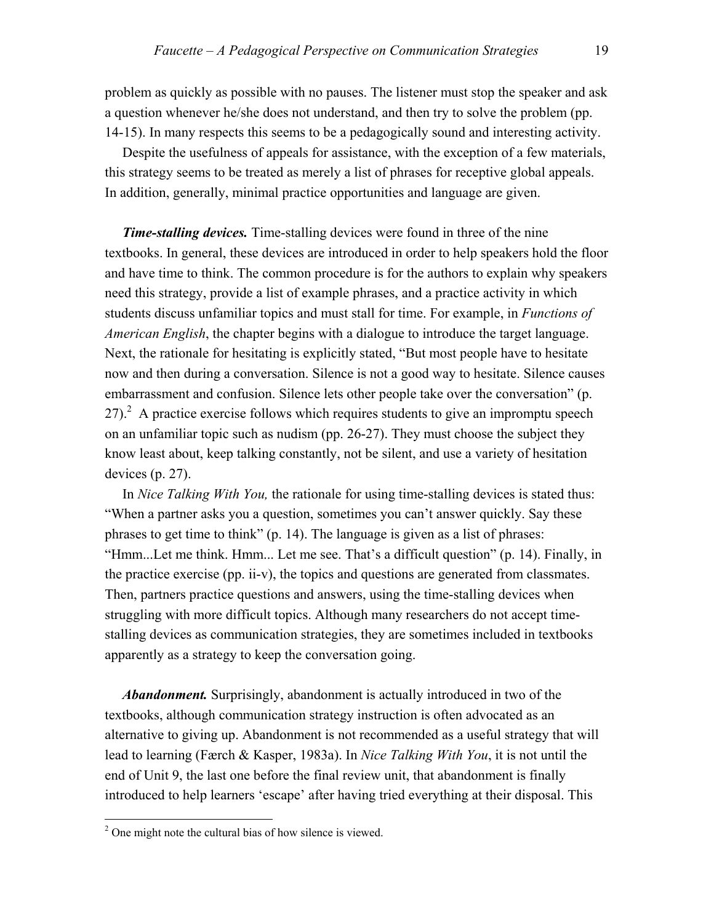problem as quickly as possible with no pauses. The listener must stop the speaker and ask a question whenever he/she does not understand, and then try to solve the problem (pp. 14-15). In many respects this seems to be a pedagogically sound and interesting activity.

 Despite the usefulness of appeals for assistance, with the exception of a few materials, this strategy seems to be treated as merely a list of phrases for receptive global appeals. In addition, generally, minimal practice opportunities and language are given.

*Time-stalling devices.* Time-stalling devices were found in three of the nine textbooks. In general, these devices are introduced in order to help speakers hold the floor and have time to think. The common procedure is for the authors to explain why speakers need this strategy, provide a list of example phrases, and a practice activity in which students discuss unfamiliar topics and must stall for time. For example, in *Functions of American English*, the chapter begins with a dialogue to introduce the target language. Next, the rationale for hesitating is explicitly stated, "But most people have to hesitate now and then during a conversation. Silence is not a good way to hesitate. Silence causes embarrassment and confusion. Silence lets other people take over the conversation" (p. 27). $^2$  A practice exercise follows which requires students to give an impromptu speech on an unfamiliar topic such as nudism (pp. 26-27). They must choose the subject they know least about, keep talking constantly, not be silent, and use a variety of hesitation devices (p. 27).

 In *Nice Talking With You,* the rationale for using time-stalling devices is stated thus: "When a partner asks you a question, sometimes you can't answer quickly. Say these phrases to get time to think" (p. 14). The language is given as a list of phrases: "Hmm...Let me think. Hmm... Let me see. That's a difficult question" (p. 14). Finally, in the practice exercise (pp. ii-v), the topics and questions are generated from classmates. Then, partners practice questions and answers, using the time-stalling devices when struggling with more difficult topics. Although many researchers do not accept timestalling devices as communication strategies, they are sometimes included in textbooks apparently as a strategy to keep the conversation going.

 *Abandonment.* Surprisingly, abandonment is actually introduced in two of the textbooks, although communication strategy instruction is often advocated as an alternative to giving up. Abandonment is not recommended as a useful strategy that will lead to learning (Færch & Kasper, 1983a). In *Nice Talking With You*, it is not until the end of Unit 9, the last one before the final review unit, that abandonment is finally introduced to help learners 'escape' after having tried everything at their disposal. This

 $\overline{a}$ 

<span id="page-18-0"></span> $2^2$  One might note the cultural bias of how silence is viewed.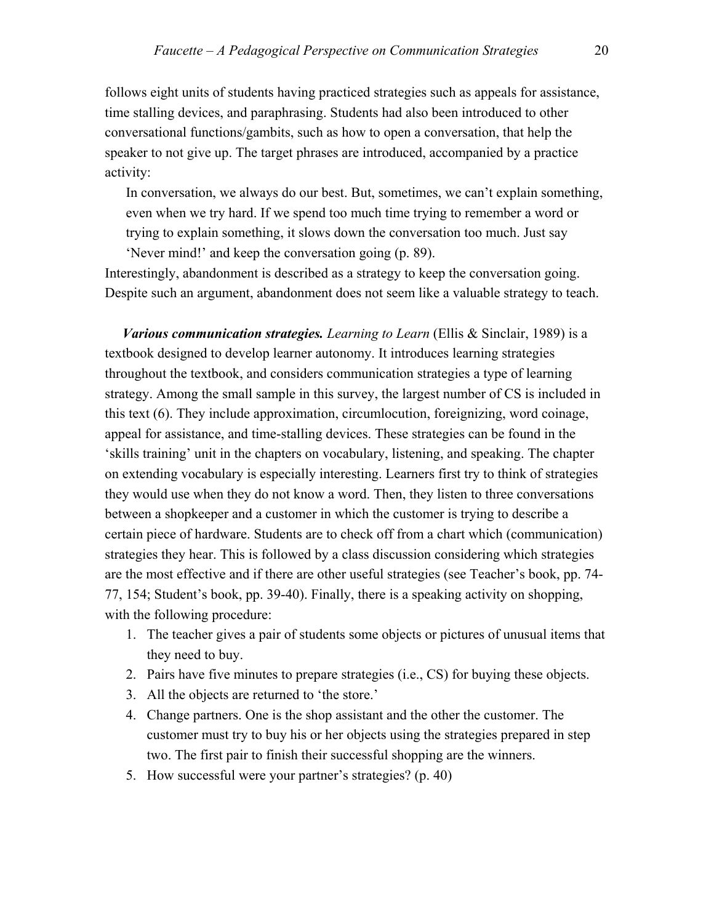follows eight units of students having practiced strategies such as appeals for assistance, time stalling devices, and paraphrasing. Students had also been introduced to other conversational functions/gambits, such as how to open a conversation, that help the speaker to not give up. The target phrases are introduced, accompanied by a practice activity:

In conversation, we always do our best. But, sometimes, we can't explain something, even when we try hard. If we spend too much time trying to remember a word or trying to explain something, it slows down the conversation too much. Just say 'Never mind!' and keep the conversation going (p. 89).

Interestingly, abandonment is described as a strategy to keep the conversation going. Despite such an argument, abandonment does not seem like a valuable strategy to teach.

 *Various communication strategies. Learning to Learn* (Ellis & Sinclair, 1989) is a textbook designed to develop learner autonomy. It introduces learning strategies throughout the textbook, and considers communication strategies a type of learning strategy. Among the small sample in this survey, the largest number of CS is included in this text (6). They include approximation, circumlocution, foreignizing, word coinage, appeal for assistance, and time-stalling devices. These strategies can be found in the 'skills training' unit in the chapters on vocabulary, listening, and speaking. The chapter on extending vocabulary is especially interesting. Learners first try to think of strategies they would use when they do not know a word. Then, they listen to three conversations between a shopkeeper and a customer in which the customer is trying to describe a certain piece of hardware. Students are to check off from a chart which (communication) strategies they hear. This is followed by a class discussion considering which strategies are the most effective and if there are other useful strategies (see Teacher's book, pp. 74- 77, 154; Student's book, pp. 39-40). Finally, there is a speaking activity on shopping, with the following procedure:

- 1. The teacher gives a pair of students some objects or pictures of unusual items that they need to buy.
- 2. Pairs have five minutes to prepare strategies (i.e., CS) for buying these objects.
- 3. All the objects are returned to 'the store.'
- 4. Change partners. One is the shop assistant and the other the customer. The customer must try to buy his or her objects using the strategies prepared in step two. The first pair to finish their successful shopping are the winners.
- 5. How successful were your partner's strategies? (p. 40)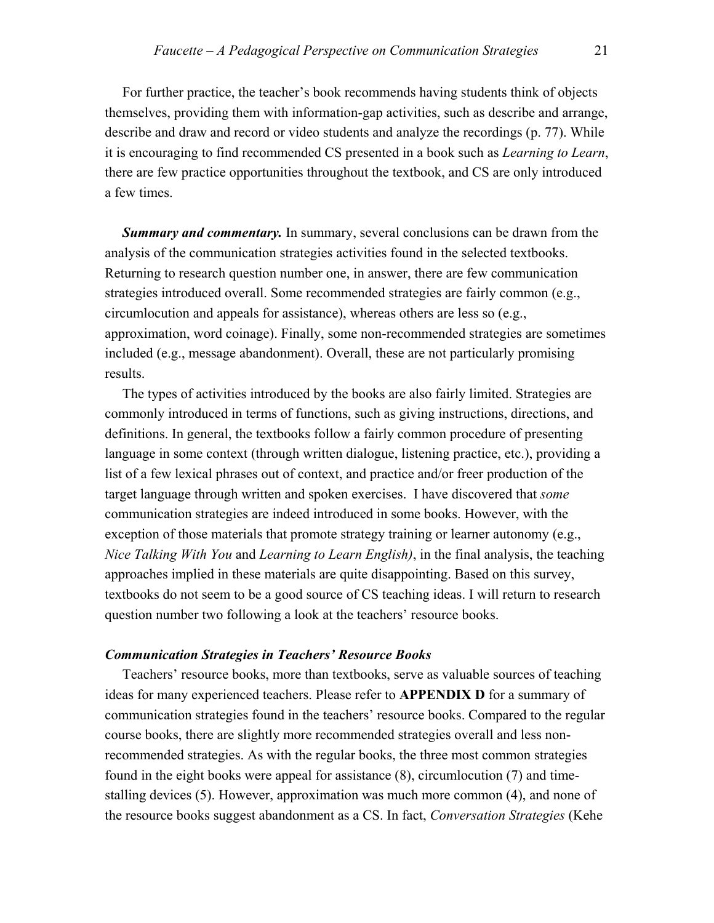For further practice, the teacher's book recommends having students think of objects themselves, providing them with information-gap activities, such as describe and arrange, describe and draw and record or video students and analyze the recordings (p. 77). While it is encouraging to find recommended CS presented in a book such as *Learning to Learn*, there are few practice opportunities throughout the textbook, and CS are only introduced a few times.

 *Summary and commentary.* In summary, several conclusions can be drawn from the analysis of the communication strategies activities found in the selected textbooks. Returning to research question number one, in answer, there are few communication strategies introduced overall. Some recommended strategies are fairly common (e.g., circumlocution and appeals for assistance), whereas others are less so (e.g., approximation, word coinage). Finally, some non-recommended strategies are sometimes included (e.g., message abandonment). Overall, these are not particularly promising results.

 The types of activities introduced by the books are also fairly limited. Strategies are commonly introduced in terms of functions, such as giving instructions, directions, and definitions. In general, the textbooks follow a fairly common procedure of presenting language in some context (through written dialogue, listening practice, etc.), providing a list of a few lexical phrases out of context, and practice and/or freer production of the target language through written and spoken exercises. I have discovered that *some*  communication strategies are indeed introduced in some books. However, with the exception of those materials that promote strategy training or learner autonomy (e.g., *Nice Talking With You* and *Learning to Learn English)*, in the final analysis, the teaching approaches implied in these materials are quite disappointing. Based on this survey, textbooks do not seem to be a good source of CS teaching ideas. I will return to research question number two following a look at the teachers' resource books.

#### *Communication Strategies in Teachers' Resource Books*

 Teachers' resource books, more than textbooks, serve as valuable sources of teaching ideas for many experienced teachers. Please refer to **APPENDIX D** for a summary of communication strategies found in the teachers' resource books. Compared to the regular course books, there are slightly more recommended strategies overall and less nonrecommended strategies. As with the regular books, the three most common strategies found in the eight books were appeal for assistance (8), circumlocution (7) and timestalling devices (5). However, approximation was much more common (4), and none of the resource books suggest abandonment as a CS. In fact, *Conversation Strategies* (Kehe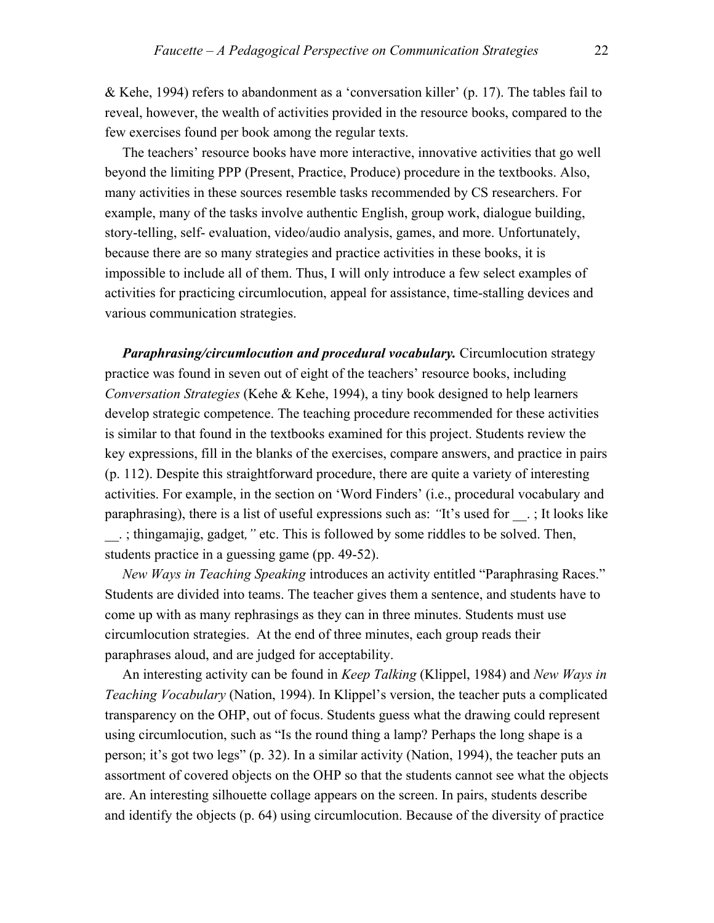& Kehe, 1994) refers to abandonment as a 'conversation killer' (p. 17). The tables fail to reveal, however, the wealth of activities provided in the resource books, compared to the few exercises found per book among the regular texts.

 The teachers' resource books have more interactive, innovative activities that go well beyond the limiting PPP (Present, Practice, Produce) procedure in the textbooks. Also, many activities in these sources resemble tasks recommended by CS researchers. For example, many of the tasks involve authentic English, group work, dialogue building, story-telling, self- evaluation, video/audio analysis, games, and more. Unfortunately, because there are so many strategies and practice activities in these books, it is impossible to include all of them. Thus, I will only introduce a few select examples of activities for practicing circumlocution, appeal for assistance, time-stalling devices and various communication strategies.

 *Paraphrasing/circumlocution and procedural vocabulary.* Circumlocution strategy practice was found in seven out of eight of the teachers' resource books, including *Conversation Strategies* (Kehe & Kehe, 1994), a tiny book designed to help learners develop strategic competence. The teaching procedure recommended for these activities is similar to that found in the textbooks examined for this project. Students review the key expressions, fill in the blanks of the exercises, compare answers, and practice in pairs (p. 112). Despite this straightforward procedure, there are quite a variety of interesting activities. For example, in the section on 'Word Finders' (i.e., procedural vocabulary and paraphrasing), there is a list of useful expressions such as: *"*It's used for \_\_. ; It looks like \_\_. ; thingamajig, gadget*,"* etc. This is followed by some riddles to be solved. Then, students practice in a guessing game (pp. 49-52).

 *New Ways in Teaching Speaking* introduces an activity entitled "Paraphrasing Races." Students are divided into teams. The teacher gives them a sentence, and students have to come up with as many rephrasings as they can in three minutes. Students must use circumlocution strategies. At the end of three minutes, each group reads their paraphrases aloud, and are judged for acceptability.

 An interesting activity can be found in *Keep Talking* (Klippel, 1984) and *New Ways in Teaching Vocabulary* (Nation, 1994). In Klippel's version, the teacher puts a complicated transparency on the OHP, out of focus. Students guess what the drawing could represent using circumlocution, such as "Is the round thing a lamp? Perhaps the long shape is a person; it's got two legs" (p. 32). In a similar activity (Nation, 1994), the teacher puts an assortment of covered objects on the OHP so that the students cannot see what the objects are. An interesting silhouette collage appears on the screen. In pairs, students describe and identify the objects (p. 64) using circumlocution. Because of the diversity of practice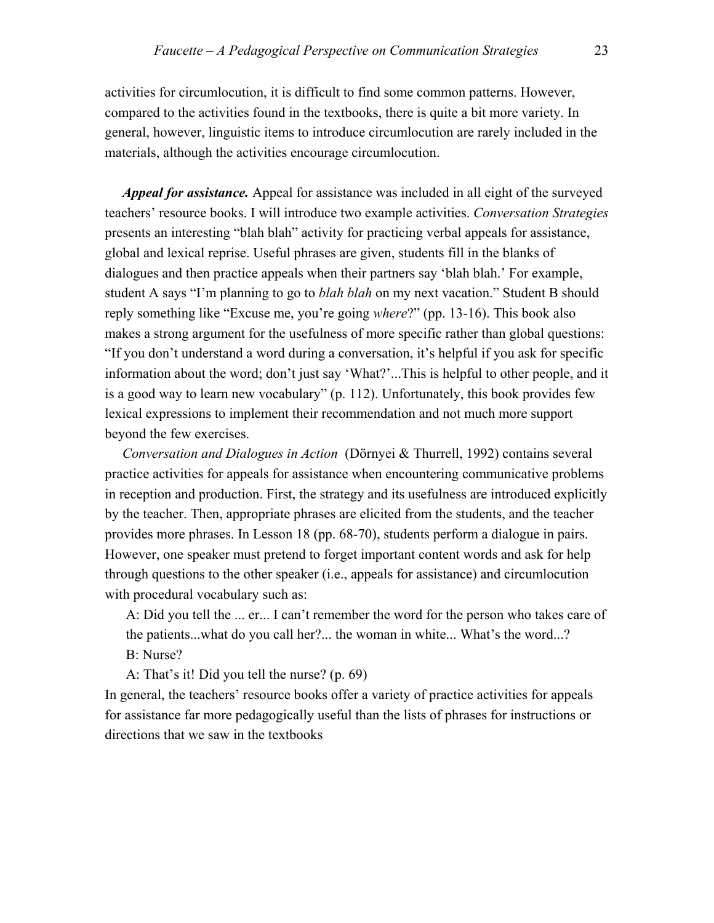activities for circumlocution, it is difficult to find some common patterns. However, compared to the activities found in the textbooks, there is quite a bit more variety. In general, however, linguistic items to introduce circumlocution are rarely included in the materials, although the activities encourage circumlocution.

 *Appeal for assistance.* Appeal for assistance was included in all eight of the surveyed teachers' resource books. I will introduce two example activities. *Conversation Strategies* presents an interesting "blah blah" activity for practicing verbal appeals for assistance, global and lexical reprise. Useful phrases are given, students fill in the blanks of dialogues and then practice appeals when their partners say 'blah blah.' For example, student A says "I'm planning to go to *blah blah* on my next vacation." Student B should reply something like "Excuse me, you're going *where*?" (pp. 13-16). This book also makes a strong argument for the usefulness of more specific rather than global questions: "If you don't understand a word during a conversation, it's helpful if you ask for specific information about the word; don't just say 'What?'...This is helpful to other people, and it is a good way to learn new vocabulary" (p. 112). Unfortunately, this book provides few lexical expressions to implement their recommendation and not much more support beyond the few exercises.

*Conversation and Dialogues in Action* (Dörnyei & Thurrell, 1992) contains several practice activities for appeals for assistance when encountering communicative problems in reception and production. First, the strategy and its usefulness are introduced explicitly by the teacher. Then, appropriate phrases are elicited from the students, and the teacher provides more phrases. In Lesson 18 (pp. 68-70), students perform a dialogue in pairs. However, one speaker must pretend to forget important content words and ask for help through questions to the other speaker (i.e., appeals for assistance) and circumlocution with procedural vocabulary such as:

A: Did you tell the ... er... I can't remember the word for the person who takes care of the patients...what do you call her?... the woman in white... What's the word...? B: Nurse?

A: That's it! Did you tell the nurse? (p. 69)

In general, the teachers' resource books offer a variety of practice activities for appeals for assistance far more pedagogically useful than the lists of phrases for instructions or directions that we saw in the textbooks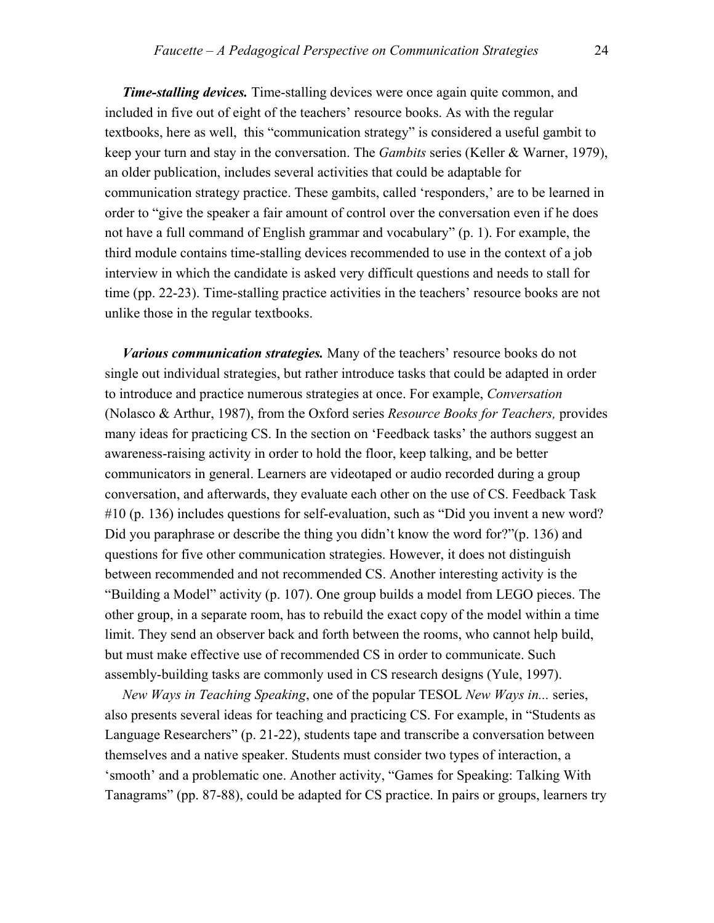*Time-stalling devices.* Time-stalling devices were once again quite common, and included in five out of eight of the teachers' resource books. As with the regular textbooks, here as well, this "communication strategy" is considered a useful gambit to keep your turn and stay in the conversation. The *Gambits* series (Keller & Warner, 1979), an older publication, includes several activities that could be adaptable for communication strategy practice. These gambits, called 'responders,' are to be learned in order to "give the speaker a fair amount of control over the conversation even if he does not have a full command of English grammar and vocabulary" (p. 1). For example, the third module contains time-stalling devices recommended to use in the context of a job interview in which the candidate is asked very difficult questions and needs to stall for time (pp. 22-23). Time-stalling practice activities in the teachers' resource books are not unlike those in the regular textbooks.

 *Various communication strategies.* Many of the teachers' resource books do not single out individual strategies, but rather introduce tasks that could be adapted in order to introduce and practice numerous strategies at once. For example, *Conversation* (Nolasco & Arthur, 1987), from the Oxford series *Resource Books for Teachers,* provides many ideas for practicing CS. In the section on 'Feedback tasks' the authors suggest an awareness-raising activity in order to hold the floor, keep talking, and be better communicators in general. Learners are videotaped or audio recorded during a group conversation, and afterwards, they evaluate each other on the use of CS. Feedback Task #10 (p. 136) includes questions for self-evaluation, such as "Did you invent a new word? Did you paraphrase or describe the thing you didn't know the word for?"(p. 136) and questions for five other communication strategies. However, it does not distinguish between recommended and not recommended CS. Another interesting activity is the "Building a Model" activity (p. 107). One group builds a model from LEGO pieces. The other group, in a separate room, has to rebuild the exact copy of the model within a time limit. They send an observer back and forth between the rooms, who cannot help build, but must make effective use of recommended CS in order to communicate. Such assembly-building tasks are commonly used in CS research designs (Yule, 1997).

 *New Ways in Teaching Speaking*, one of the popular TESOL *New Ways in...* series, also presents several ideas for teaching and practicing CS. For example, in "Students as Language Researchers" (p. 21-22), students tape and transcribe a conversation between themselves and a native speaker. Students must consider two types of interaction, a 'smooth' and a problematic one. Another activity, "Games for Speaking: Talking With Tanagrams" (pp. 87-88), could be adapted for CS practice. In pairs or groups, learners try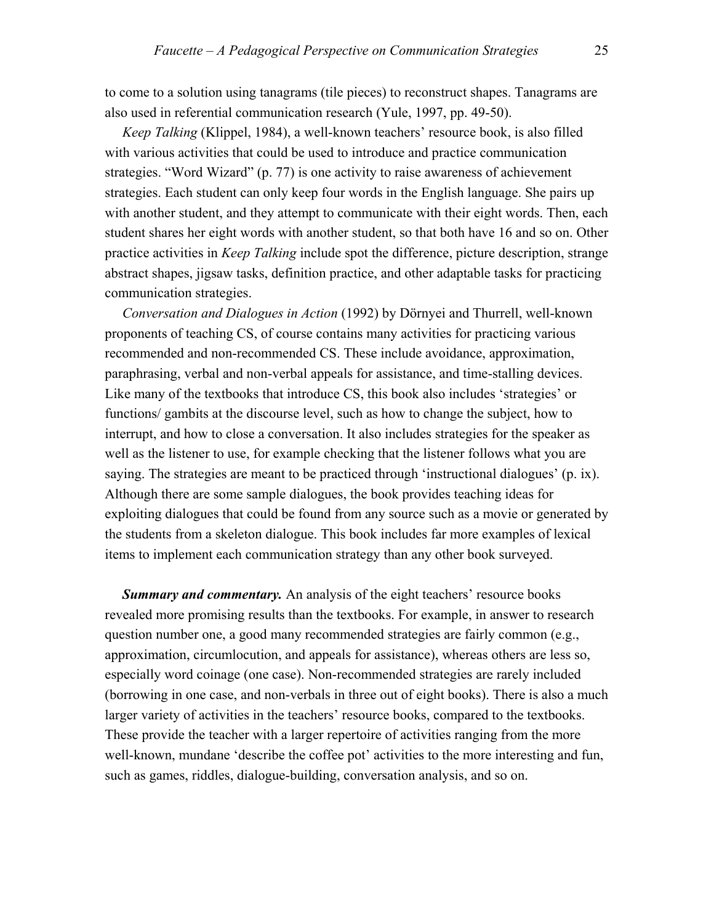to come to a solution using tanagrams (tile pieces) to reconstruct shapes. Tanagrams are also used in referential communication research (Yule, 1997, pp. 49-50).

 *Keep Talking* (Klippel, 1984), a well-known teachers' resource book, is also filled with various activities that could be used to introduce and practice communication strategies. "Word Wizard" (p. 77) is one activity to raise awareness of achievement strategies. Each student can only keep four words in the English language. She pairs up with another student, and they attempt to communicate with their eight words. Then, each student shares her eight words with another student, so that both have 16 and so on. Other practice activities in *Keep Talking* include spot the difference, picture description, strange abstract shapes, jigsaw tasks, definition practice, and other adaptable tasks for practicing communication strategies.

 *Conversation and Dialogues in Action* (1992) by Dörnyei and Thurrell, well-known proponents of teaching CS, of course contains many activities for practicing various recommended and non-recommended CS. These include avoidance, approximation, paraphrasing, verbal and non-verbal appeals for assistance, and time-stalling devices. Like many of the textbooks that introduce CS, this book also includes 'strategies' or functions/ gambits at the discourse level, such as how to change the subject, how to interrupt, and how to close a conversation. It also includes strategies for the speaker as well as the listener to use, for example checking that the listener follows what you are saying. The strategies are meant to be practiced through 'instructional dialogues' (p. ix). Although there are some sample dialogues, the book provides teaching ideas for exploiting dialogues that could be found from any source such as a movie or generated by the students from a skeleton dialogue. This book includes far more examples of lexical items to implement each communication strategy than any other book surveyed.

*Summary and commentary.* An analysis of the eight teachers' resource books revealed more promising results than the textbooks. For example, in answer to research question number one, a good many recommended strategies are fairly common (e.g., approximation, circumlocution, and appeals for assistance), whereas others are less so, especially word coinage (one case). Non-recommended strategies are rarely included (borrowing in one case, and non-verbals in three out of eight books). There is also a much larger variety of activities in the teachers' resource books, compared to the textbooks. These provide the teacher with a larger repertoire of activities ranging from the more well-known, mundane 'describe the coffee pot' activities to the more interesting and fun, such as games, riddles, dialogue-building, conversation analysis, and so on.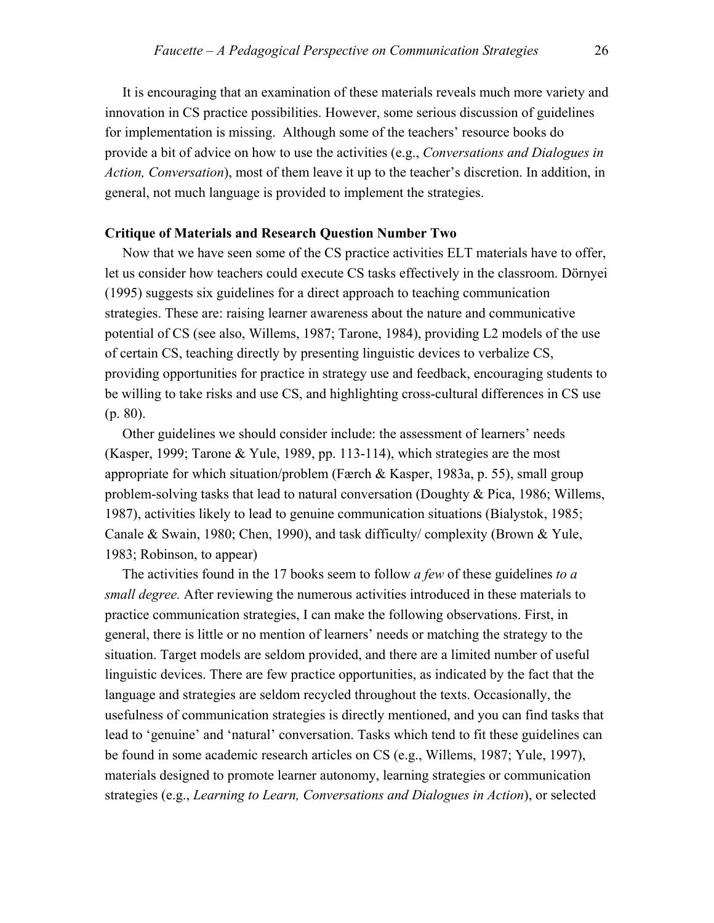It is encouraging that an examination of these materials reveals much more variety and innovation in CS practice possibilities. However, some serious discussion of guidelines for implementation is missing. Although some of the teachers' resource books do provide a bit of advice on how to use the activities (e.g., *Conversations and Dialogues in Action, Conversation*), most of them leave it up to the teacher's discretion. In addition, in general, not much language is provided to implement the strategies.

#### **Critique of Materials and Research Question Number Two**

 Now that we have seen some of the CS practice activities ELT materials have to offer, let us consider how teachers could execute CS tasks effectively in the classroom. Dörnyei (1995) suggests six guidelines for a direct approach to teaching communication strategies. These are: raising learner awareness about the nature and communicative potential of CS (see also, Willems, 1987; Tarone, 1984), providing L2 models of the use of certain CS, teaching directly by presenting linguistic devices to verbalize CS, providing opportunities for practice in strategy use and feedback, encouraging students to be willing to take risks and use CS, and highlighting cross-cultural differences in CS use (p. 80).

 Other guidelines we should consider include: the assessment of learners' needs (Kasper, 1999; Tarone & Yule, 1989, pp. 113-114), which strategies are the most appropriate for which situation/problem (Færch & Kasper, 1983a, p. 55), small group problem-solving tasks that lead to natural conversation (Doughty & Pica, 1986; Willems, 1987), activities likely to lead to genuine communication situations (Bialystok, 1985; Canale & Swain, 1980; Chen, 1990), and task difficulty/ complexity (Brown & Yule, 1983; Robinson, to appear)

 The activities found in the 17 books seem to follow *a few* of these guidelines *to a small degree.* After reviewing the numerous activities introduced in these materials to practice communication strategies, I can make the following observations. First, in general, there is little or no mention of learners' needs or matching the strategy to the situation. Target models are seldom provided, and there are a limited number of useful linguistic devices. There are few practice opportunities, as indicated by the fact that the language and strategies are seldom recycled throughout the texts. Occasionally, the usefulness of communication strategies is directly mentioned, and you can find tasks that lead to 'genuine' and 'natural' conversation. Tasks which tend to fit these guidelines can be found in some academic research articles on CS (e.g., Willems, 1987; Yule, 1997), materials designed to promote learner autonomy, learning strategies or communication strategies (e.g., *Learning to Learn, Conversations and Dialogues in Action*), or selected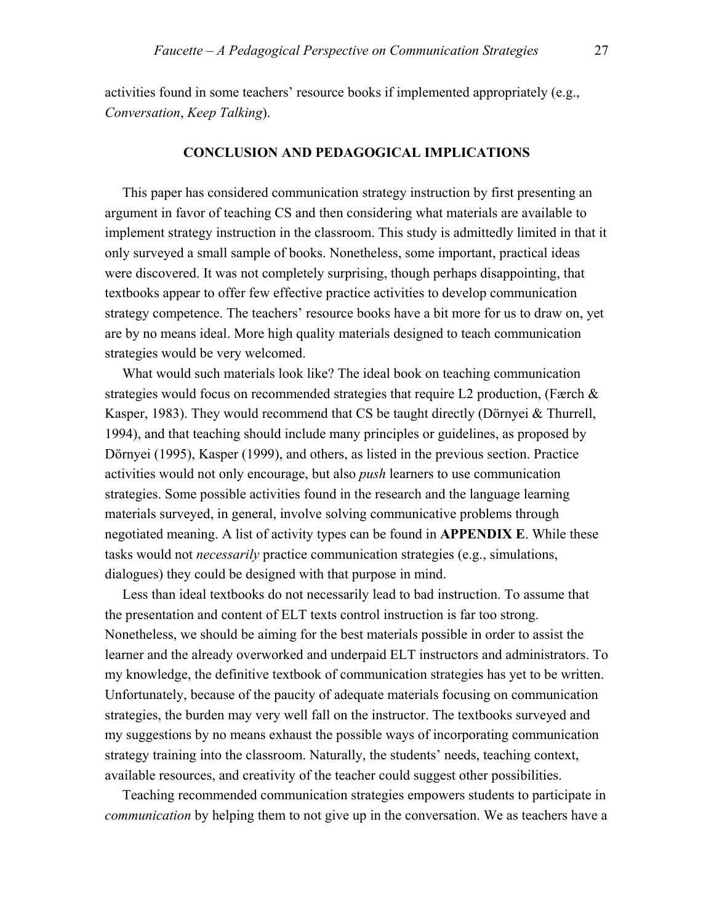activities found in some teachers' resource books if implemented appropriately (e.g., *Conversation*, *Keep Talking*).

#### **CONCLUSION AND PEDAGOGICAL IMPLICATIONS**

 This paper has considered communication strategy instruction by first presenting an argument in favor of teaching CS and then considering what materials are available to implement strategy instruction in the classroom. This study is admittedly limited in that it only surveyed a small sample of books. Nonetheless, some important, practical ideas were discovered. It was not completely surprising, though perhaps disappointing, that textbooks appear to offer few effective practice activities to develop communication strategy competence. The teachers' resource books have a bit more for us to draw on, yet are by no means ideal. More high quality materials designed to teach communication strategies would be very welcomed.

 What would such materials look like? The ideal book on teaching communication strategies would focus on recommended strategies that require L2 production, (Færch & Kasper, 1983). They would recommend that CS be taught directly (Dörnyei & Thurrell, 1994), and that teaching should include many principles or guidelines, as proposed by Dörnyei (1995), Kasper (1999), and others, as listed in the previous section. Practice activities would not only encourage, but also *push* learners to use communication strategies. Some possible activities found in the research and the language learning materials surveyed, in general, involve solving communicative problems through negotiated meaning. A list of activity types can be found in **APPENDIX E**. While these tasks would not *necessarily* practice communication strategies (e.g., simulations, dialogues) they could be designed with that purpose in mind.

 Less than ideal textbooks do not necessarily lead to bad instruction. To assume that the presentation and content of ELT texts control instruction is far too strong. Nonetheless, we should be aiming for the best materials possible in order to assist the learner and the already overworked and underpaid ELT instructors and administrators. To my knowledge, the definitive textbook of communication strategies has yet to be written. Unfortunately, because of the paucity of adequate materials focusing on communication strategies, the burden may very well fall on the instructor. The textbooks surveyed and my suggestions by no means exhaust the possible ways of incorporating communication strategy training into the classroom. Naturally, the students' needs, teaching context, available resources, and creativity of the teacher could suggest other possibilities.

 Teaching recommended communication strategies empowers students to participate in *communication* by helping them to not give up in the conversation. We as teachers have a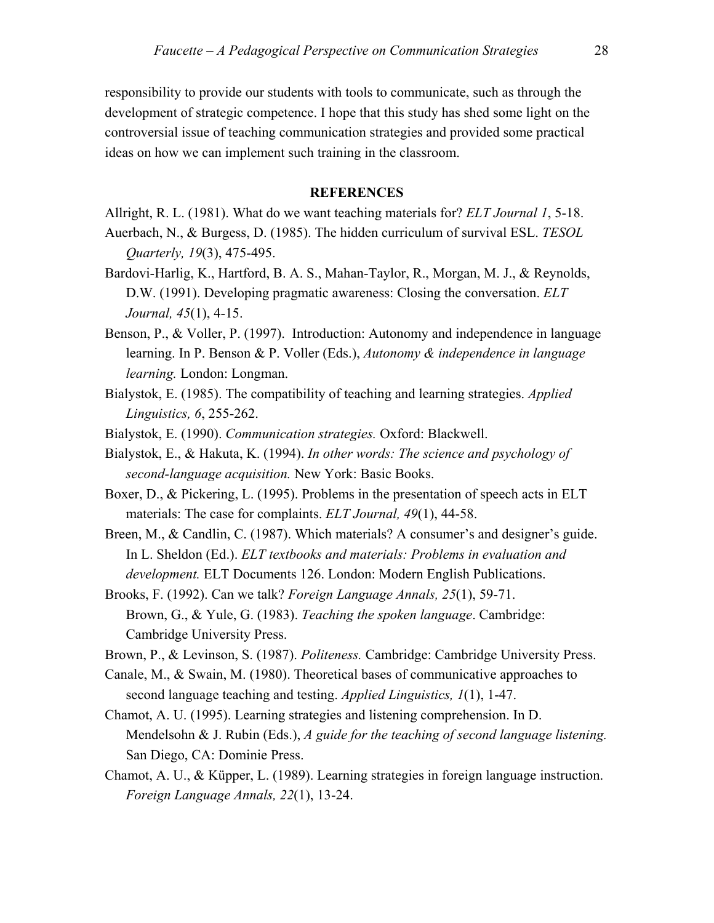responsibility to provide our students with tools to communicate, such as through the development of strategic competence. I hope that this study has shed some light on the controversial issue of teaching communication strategies and provided some practical ideas on how we can implement such training in the classroom.

#### **REFERENCES**

Allright, R. L. (1981). What do we want teaching materials for? *ELT Journal 1*, 5-18.

- Auerbach, N., & Burgess, D. (1985). The hidden curriculum of survival ESL. *TESOL Quarterly, 19*(3), 475-495.
- Bardovi-Harlig, K., Hartford, B. A. S., Mahan-Taylor, R., Morgan, M. J., & Reynolds, D.W. (1991). Developing pragmatic awareness: Closing the conversation. *ELT Journal, 45*(1), 4-15.
- Benson, P., & Voller, P. (1997). Introduction: Autonomy and independence in language learning. In P. Benson & P. Voller (Eds.), *Autonomy & independence in language learning.* London: Longman.
- Bialystok, E. (1985). The compatibility of teaching and learning strategies. *Applied Linguistics, 6*, 255-262.
- Bialystok, E. (1990). *Communication strategies.* Oxford: Blackwell.
- Bialystok, E., & Hakuta, K. (1994). *In other words: The science and psychology of second-language acquisition.* New York: Basic Books.
- Boxer, D., & Pickering, L. (1995). Problems in the presentation of speech acts in ELT materials: The case for complaints. *ELT Journal, 49*(1), 44-58.
- Breen, M., & Candlin, C. (1987). Which materials? A consumer's and designer's guide. In L. Sheldon (Ed.). *ELT textbooks and materials: Problems in evaluation and development.* ELT Documents 126. London: Modern English Publications.
- Brooks, F. (1992). Can we talk? *Foreign Language Annals, 25*(1), 59-71. Brown, G., & Yule, G. (1983). *Teaching the spoken language*. Cambridge: Cambridge University Press.
- Brown, P., & Levinson, S. (1987). *Politeness.* Cambridge: Cambridge University Press.
- Canale, M., & Swain, M. (1980). Theoretical bases of communicative approaches to second language teaching and testing. *Applied Linguistics, 1*(1), 1-47.
- Chamot, A. U. (1995). Learning strategies and listening comprehension. In D. Mendelsohn & J. Rubin (Eds.), *A guide for the teaching of second language listening.* San Diego, CA: Dominie Press.
- Chamot, A. U., & Küpper, L. (1989). Learning strategies in foreign language instruction. *Foreign Language Annals, 22*(1), 13-24.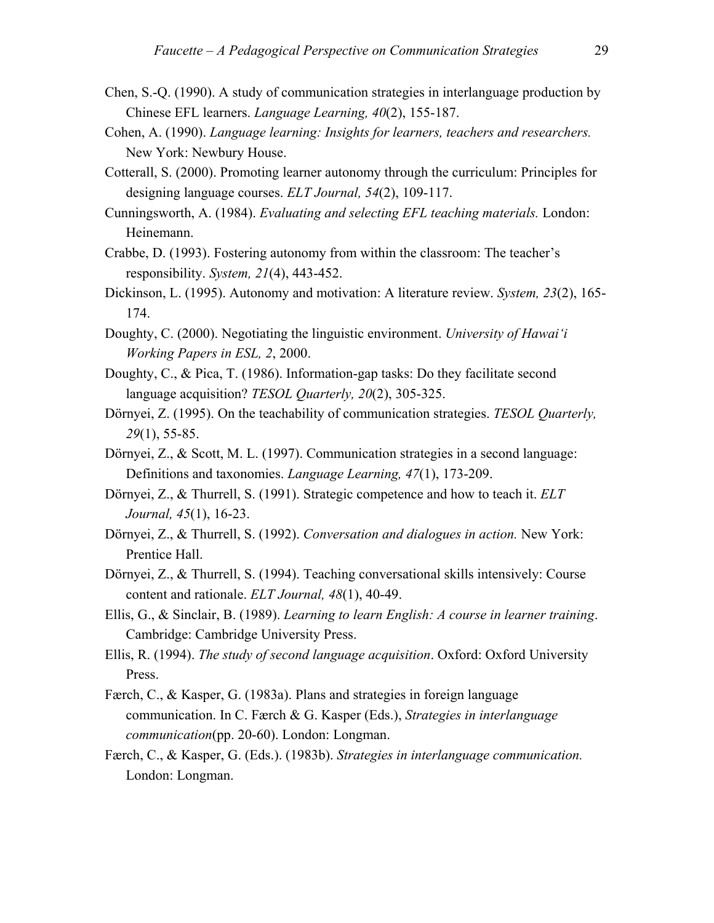- Chen, S.-Q. (1990). A study of communication strategies in interlanguage production by Chinese EFL learners. *Language Learning, 40*(2), 155-187.
- Cohen, A. (1990). *Language learning: Insights for learners, teachers and researchers.*  New York: Newbury House.
- Cotterall, S. (2000). Promoting learner autonomy through the curriculum: Principles for designing language courses. *ELT Journal, 54*(2), 109-117.
- Cunningsworth, A. (1984). *Evaluating and selecting EFL teaching materials.* London: Heinemann.
- Crabbe, D. (1993). Fostering autonomy from within the classroom: The teacher's responsibility. *System, 21*(4), 443-452.
- Dickinson, L. (1995). Autonomy and motivation: A literature review. *System, 23*(2), 165- 174.
- Doughty, C. (2000). Negotiating the linguistic environment. *University of Hawai'i Working Papers in ESL, 2*, 2000.
- Doughty, C., & Pica, T. (1986). Information-gap tasks: Do they facilitate second language acquisition? *TESOL Quarterly, 20*(2), 305-325.
- Dörnyei, Z. (1995). On the teachability of communication strategies. *TESOL Quarterly, 29*(1), 55-85.
- Dörnyei, Z., & Scott, M. L. (1997). Communication strategies in a second language: Definitions and taxonomies. *Language Learning, 47*(1), 173-209.
- Dörnyei, Z., & Thurrell, S. (1991). Strategic competence and how to teach it. *ELT Journal, 45*(1), 16-23.
- Dörnyei, Z., & Thurrell, S. (1992). *Conversation and dialogues in action.* New York: Prentice Hall.
- Dörnyei, Z., & Thurrell, S. (1994). Teaching conversational skills intensively: Course content and rationale. *ELT Journal, 48*(1), 40-49.
- Ellis, G., & Sinclair, B. (1989). *Learning to learn English: A course in learner training*. Cambridge: Cambridge University Press.
- Ellis, R. (1994). *The study of second language acquisition*. Oxford: Oxford University Press.
- Færch, C., & Kasper, G. (1983a). Plans and strategies in foreign language communication. In C. Færch & G. Kasper (Eds.), *Strategies in interlanguage communication*(pp. 20-60). London: Longman.
- Færch, C., & Kasper, G. (Eds.). (1983b). *Strategies in interlanguage communication.*  London: Longman.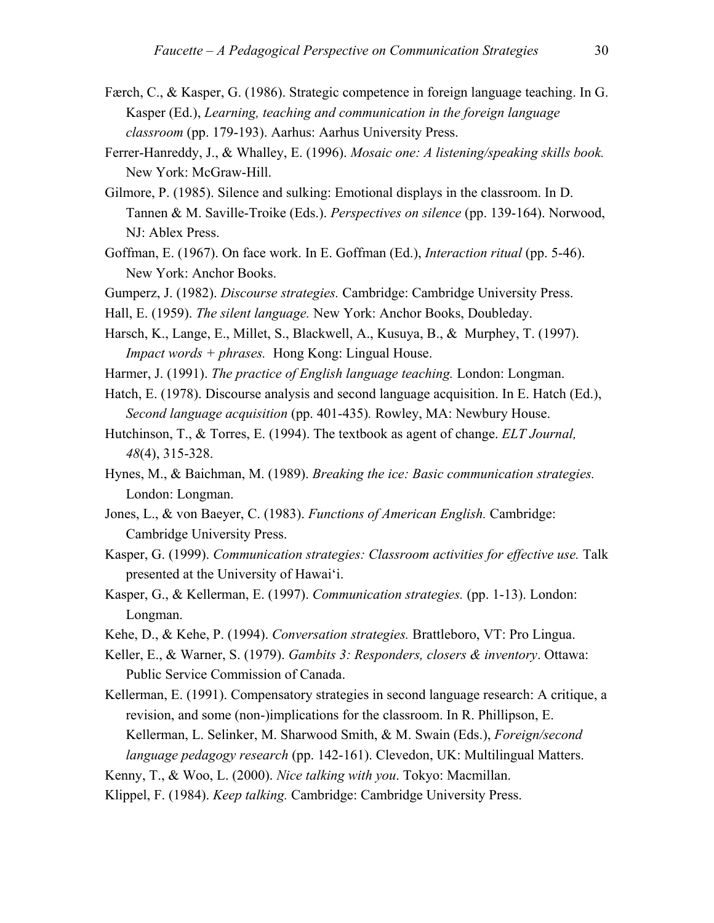- Færch, C., & Kasper, G. (1986). Strategic competence in foreign language teaching. In G. Kasper (Ed.), *Learning, teaching and communication in the foreign language classroom* (pp. 179-193). Aarhus: Aarhus University Press.
- Ferrer-Hanreddy, J., & Whalley, E. (1996). *Mosaic one: A listening/speaking skills book.* New York: McGraw-Hill.
- Gilmore, P. (1985). Silence and sulking: Emotional displays in the classroom. In D. Tannen & M. Saville-Troike (Eds.). *Perspectives on silence* (pp. 139-164). Norwood, NJ: Ablex Press.
- Goffman, E. (1967). On face work. In E. Goffman (Ed.), *Interaction ritual* (pp. 5-46). New York: Anchor Books.
- Gumperz, J. (1982). *Discourse strategies.* Cambridge: Cambridge University Press.
- Hall, E. (1959). *The silent language.* New York: Anchor Books, Doubleday.
- Harsch, K., Lange, E., Millet, S., Blackwell, A., Kusuya, B., & Murphey, T. (1997). *Impact words + phrases.* Hong Kong: Lingual House.
- Harmer, J. (1991). *The practice of English language teaching.* London: Longman.
- Hatch, E. (1978). Discourse analysis and second language acquisition. In E. Hatch (Ed.), *Second language acquisition* (pp. 401-435)*.* Rowley, MA: Newbury House.
- Hutchinson, T., & Torres, E. (1994). The textbook as agent of change. *ELT Journal, 48*(4), 315-328.
- Hynes, M., & Baichman, M. (1989). *Breaking the ice: Basic communication strategies.* London: Longman.
- Jones, L., & von Baeyer, C. (1983). *Functions of American English.* Cambridge: Cambridge University Press.
- Kasper, G. (1999). *Communication strategies: Classroom activities for effective use.* Talk presented at the University of Hawai'i.
- Kasper, G., & Kellerman, E. (1997). *Communication strategies.* (pp. 1-13). London: Longman.
- Kehe, D., & Kehe, P. (1994). *Conversation strategies.* Brattleboro, VT: Pro Lingua.
- Keller, E., & Warner, S. (1979). *Gambits 3: Responders, closers & inventory*. Ottawa: Public Service Commission of Canada.
- Kellerman, E. (1991). Compensatory strategies in second language research: A critique, a revision, and some (non-)implications for the classroom. In R. Phillipson, E. Kellerman, L. Selinker, M. Sharwood Smith, & M. Swain (Eds.), *Foreign/second language pedagogy research* (pp. 142-161). Clevedon, UK: Multilingual Matters.
- Kenny, T., & Woo, L. (2000). *Nice talking with you*. Tokyo: Macmillan.

Klippel, F. (1984). *Keep talking.* Cambridge: Cambridge University Press.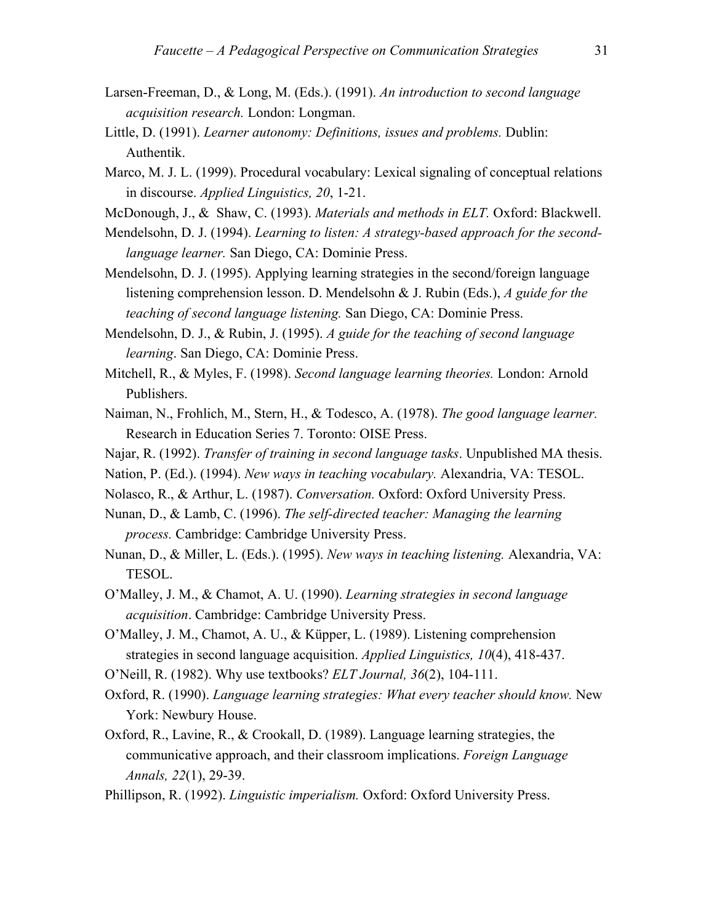- Larsen-Freeman, D., & Long, M. (Eds.). (1991). *An introduction to second language acquisition research.* London: Longman.
- Little, D. (1991). *Learner autonomy: Definitions, issues and problems.* Dublin: Authentik.
- Marco, M. J. L. (1999). Procedural vocabulary: Lexical signaling of conceptual relations in discourse. *Applied Linguistics, 20*, 1-21.
- McDonough, J., & Shaw, C. (1993). *Materials and methods in ELT.* Oxford: Blackwell.
- Mendelsohn, D. J. (1994). *Learning to listen: A strategy-based approach for the secondlanguage learner.* San Diego, CA: Dominie Press.
- Mendelsohn, D. J. (1995). Applying learning strategies in the second/foreign language listening comprehension lesson. D. Mendelsohn & J. Rubin (Eds.), *A guide for the teaching of second language listening.* San Diego, CA: Dominie Press.
- Mendelsohn, D. J., & Rubin, J. (1995). *A guide for the teaching of second language learning*. San Diego, CA: Dominie Press.
- Mitchell, R., & Myles, F. (1998). *Second language learning theories.* London: Arnold Publishers.
- Naiman, N., Frohlich, M., Stern, H., & Todesco, A. (1978). *The good language learner.*  Research in Education Series 7. Toronto: OISE Press.
- Najar, R. (1992). *Transfer of training in second language tasks*. Unpublished MA thesis.
- Nation, P. (Ed.). (1994). *New ways in teaching vocabulary.* Alexandria, VA: TESOL.
- Nolasco, R., & Arthur, L. (1987). *Conversation.* Oxford: Oxford University Press.
- Nunan, D., & Lamb, C. (1996). *The self-directed teacher: Managing the learning process.* Cambridge: Cambridge University Press.
- Nunan, D., & Miller, L. (Eds.). (1995). *New ways in teaching listening.* Alexandria, VA: TESOL.
- O'Malley, J. M., & Chamot, A. U. (1990). *Learning strategies in second language acquisition*. Cambridge: Cambridge University Press.
- O'Malley, J. M., Chamot, A. U., & Küpper, L. (1989). Listening comprehension strategies in second language acquisition. *Applied Linguistics, 10*(4), 418-437.
- O'Neill, R. (1982). Why use textbooks? *ELT Journal, 36*(2), 104-111.
- Oxford, R. (1990). *Language learning strategies: What every teacher should know.* New York: Newbury House.
- Oxford, R., Lavine, R., & Crookall, D. (1989). Language learning strategies, the communicative approach, and their classroom implications. *Foreign Language Annals, 22*(1), 29-39.
- Phillipson, R. (1992). *Linguistic imperialism.* Oxford: Oxford University Press.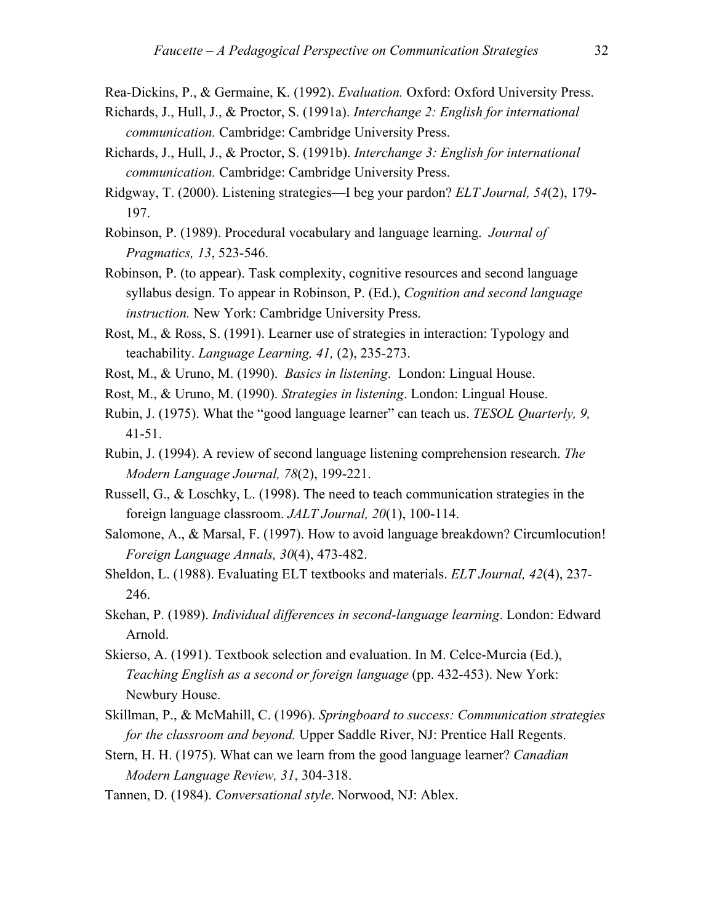Rea-Dickins, P., & Germaine, K. (1992). *Evaluation.* Oxford: Oxford University Press.

- Richards, J., Hull, J., & Proctor, S. (1991a). *Interchange 2: English for international communication.* Cambridge: Cambridge University Press.
- Richards, J., Hull, J., & Proctor, S. (1991b). *Interchange 3: English for international communication.* Cambridge: Cambridge University Press.
- Ridgway, T. (2000). Listening strategies—I beg your pardon? *ELT Journal, 54*(2), 179- 197.
- Robinson, P. (1989). Procedural vocabulary and language learning. *Journal of Pragmatics, 13*, 523-546.
- Robinson, P. (to appear). Task complexity, cognitive resources and second language syllabus design. To appear in Robinson, P. (Ed.), *Cognition and second language instruction.* New York: Cambridge University Press.
- Rost, M., & Ross, S. (1991). Learner use of strategies in interaction: Typology and teachability. *Language Learning, 41,* (2), 235-273.
- Rost, M., & Uruno, M. (1990). *Basics in listening*. London: Lingual House.
- Rost, M., & Uruno, M. (1990). *Strategies in listening*. London: Lingual House.
- Rubin, J. (1975). What the "good language learner" can teach us. *TESOL Quarterly, 9,* 41-51.
- Rubin, J. (1994). A review of second language listening comprehension research. *The Modern Language Journal, 78*(2), 199-221.
- Russell, G., & Loschky, L. (1998). The need to teach communication strategies in the foreign language classroom. *JALT Journal, 20*(1), 100-114.
- Salomone, A., & Marsal, F. (1997). How to avoid language breakdown? Circumlocution! *Foreign Language Annals, 30*(4), 473-482.
- Sheldon, L. (1988). Evaluating ELT textbooks and materials. *ELT Journal, 42*(4), 237- 246.
- Skehan, P. (1989). *Individual differences in second-language learning*. London: Edward Arnold.
- Skierso, A. (1991). Textbook selection and evaluation. In M. Celce-Murcia (Ed.), *Teaching English as a second or foreign language* (pp. 432-453). New York: Newbury House.
- Skillman, P., & McMahill, C. (1996). *Springboard to success: Communication strategies for the classroom and beyond.* Upper Saddle River, NJ: Prentice Hall Regents.
- Stern, H. H. (1975). What can we learn from the good language learner? *Canadian Modern Language Review, 31*, 304-318.
- Tannen, D. (1984). *Conversational style*. Norwood, NJ: Ablex.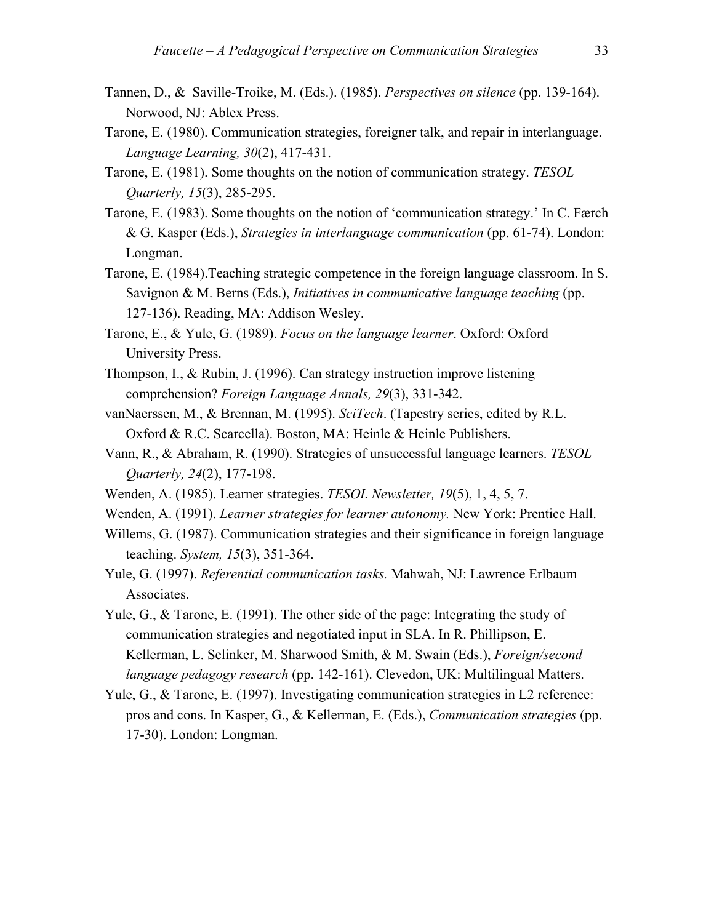- Tannen, D., & Saville-Troike, M. (Eds.). (1985). *Perspectives on silence* (pp. 139-164). Norwood, NJ: Ablex Press.
- Tarone, E. (1980). Communication strategies, foreigner talk, and repair in interlanguage. *Language Learning, 30*(2), 417-431.
- Tarone, E. (1981). Some thoughts on the notion of communication strategy. *TESOL Quarterly, 15*(3), 285-295.
- Tarone, E. (1983). Some thoughts on the notion of 'communication strategy.' In C. Færch & G. Kasper (Eds.), *Strategies in interlanguage communication* (pp. 61-74). London: Longman.
- Tarone, E. (1984).Teaching strategic competence in the foreign language classroom. In S. Savignon & M. Berns (Eds.), *Initiatives in communicative language teaching* (pp. 127-136). Reading, MA: Addison Wesley.
- Tarone, E., & Yule, G. (1989). *Focus on the language learner*. Oxford: Oxford University Press.
- Thompson, I., & Rubin, J. (1996). Can strategy instruction improve listening comprehension? *Foreign Language Annals, 29*(3), 331-342.
- vanNaerssen, M., & Brennan, M. (1995). *SciTech*. (Tapestry series, edited by R.L. Oxford & R.C. Scarcella). Boston, MA: Heinle & Heinle Publishers.
- Vann, R., & Abraham, R. (1990). Strategies of unsuccessful language learners. *TESOL Quarterly, 24*(2), 177-198.
- Wenden, A. (1985). Learner strategies. *TESOL Newsletter, 19*(5), 1, 4, 5, 7.
- Wenden, A. (1991). *Learner strategies for learner autonomy.* New York: Prentice Hall.
- Willems, G. (1987). Communication strategies and their significance in foreign language teaching. *System, 15*(3), 351-364.
- Yule, G. (1997). *Referential communication tasks.* Mahwah, NJ: Lawrence Erlbaum Associates.
- Yule, G., & Tarone, E. (1991). The other side of the page: Integrating the study of communication strategies and negotiated input in SLA. In R. Phillipson, E. Kellerman, L. Selinker, M. Sharwood Smith, & M. Swain (Eds.), *Foreign/second language pedagogy research* (pp. 142-161). Clevedon, UK: Multilingual Matters.
- Yule, G., & Tarone, E. (1997). Investigating communication strategies in L2 reference: pros and cons. In Kasper, G., & Kellerman, E. (Eds.), *Communication strategies* (pp. 17-30). London: Longman.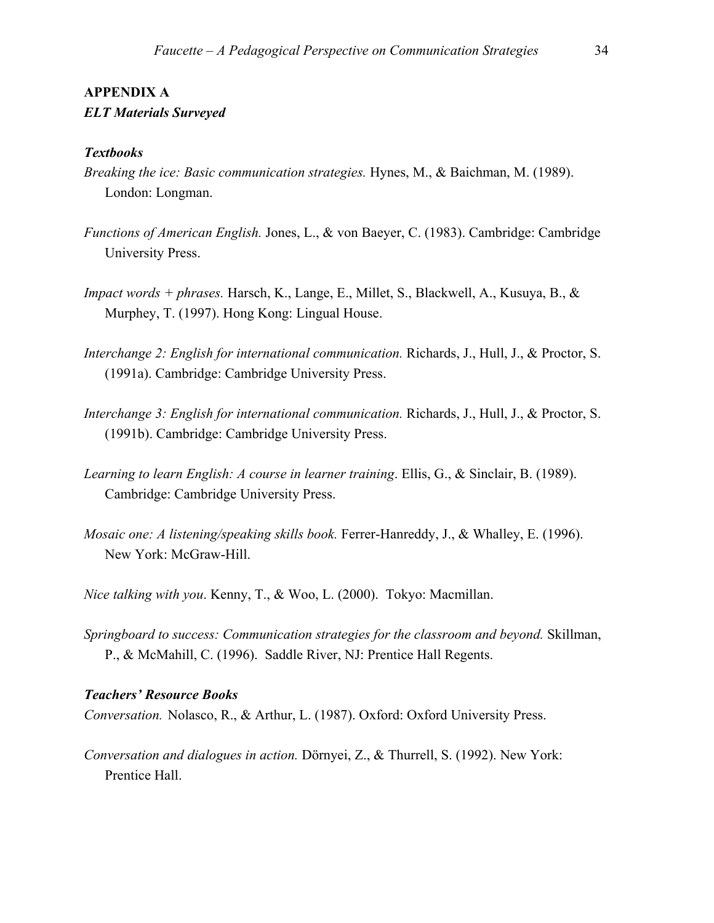# **APPENDIX A**

## *ELT Materials Surveyed*

#### *Textbooks*

- *Breaking the ice: Basic communication strategies.* Hynes, M., & Baichman, M. (1989). London: Longman.
- *Functions of American English.* Jones, L., & von Baeyer, C. (1983). Cambridge: Cambridge University Press.
- *Impact words + phrases.* Harsch, K., Lange, E., Millet, S., Blackwell, A., Kusuya, B., & Murphey, T. (1997). Hong Kong: Lingual House.
- *Interchange 2: English for international communication.* Richards, J., Hull, J., & Proctor, S. (1991a). Cambridge: Cambridge University Press.
- *Interchange 3: English for international communication.* Richards, J., Hull, J., & Proctor, S. (1991b). Cambridge: Cambridge University Press.
- *Learning to learn English: A course in learner training*. Ellis, G., & Sinclair, B. (1989). Cambridge: Cambridge University Press.
- *Mosaic one: A listening/speaking skills book.* Ferrer-Hanreddy, J., & Whalley, E. (1996). New York: McGraw-Hill.
- *Nice talking with you*. Kenny, T., & Woo, L. (2000). Tokyo: Macmillan.
- *Springboard to success: Communication strategies for the classroom and beyond. Skillman,* P., & McMahill, C. (1996). Saddle River, NJ: Prentice Hall Regents.

#### *Teachers' Resource Books*

*Conversation.* Nolasco, R., & Arthur, L. (1987). Oxford: Oxford University Press.

*Conversation and dialogues in action.* Dörnyei, Z., & Thurrell, S. (1992). New York: Prentice Hall.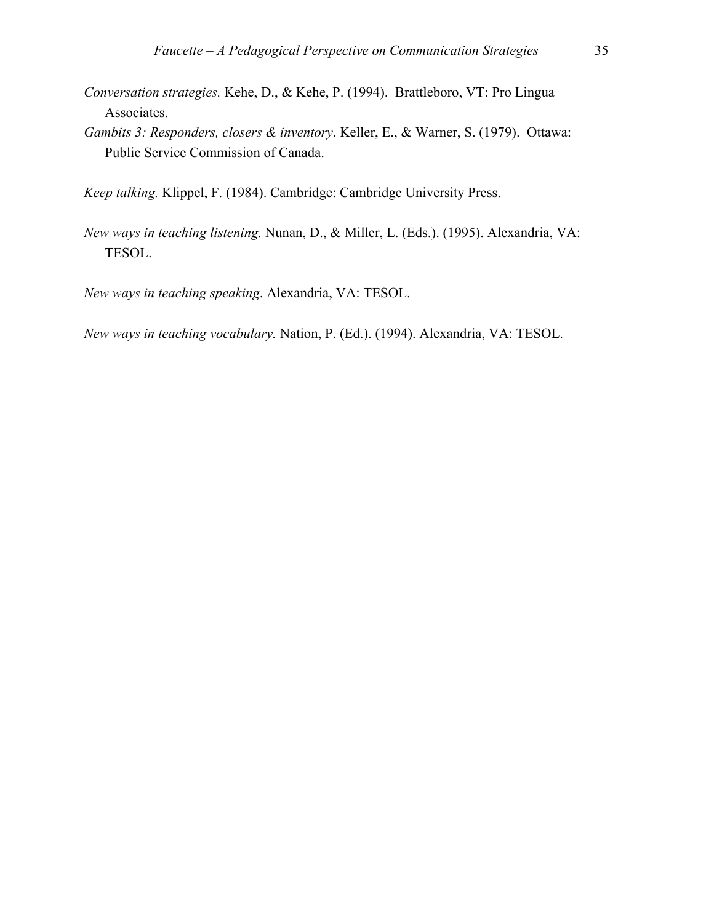- *Conversation strategies.* Kehe, D., & Kehe, P. (1994). Brattleboro, VT: Pro Lingua Associates.
- *Gambits 3: Responders, closers & inventory*. Keller, E., & Warner, S. (1979). Ottawa: Public Service Commission of Canada.

*Keep talking.* Klippel, F. (1984). Cambridge: Cambridge University Press.

*New ways in teaching listening.* Nunan, D., & Miller, L. (Eds.). (1995). Alexandria, VA: TESOL.

*New ways in teaching speaking*. Alexandria, VA: TESOL.

*New ways in teaching vocabulary.* Nation, P. (Ed.). (1994). Alexandria, VA: TESOL.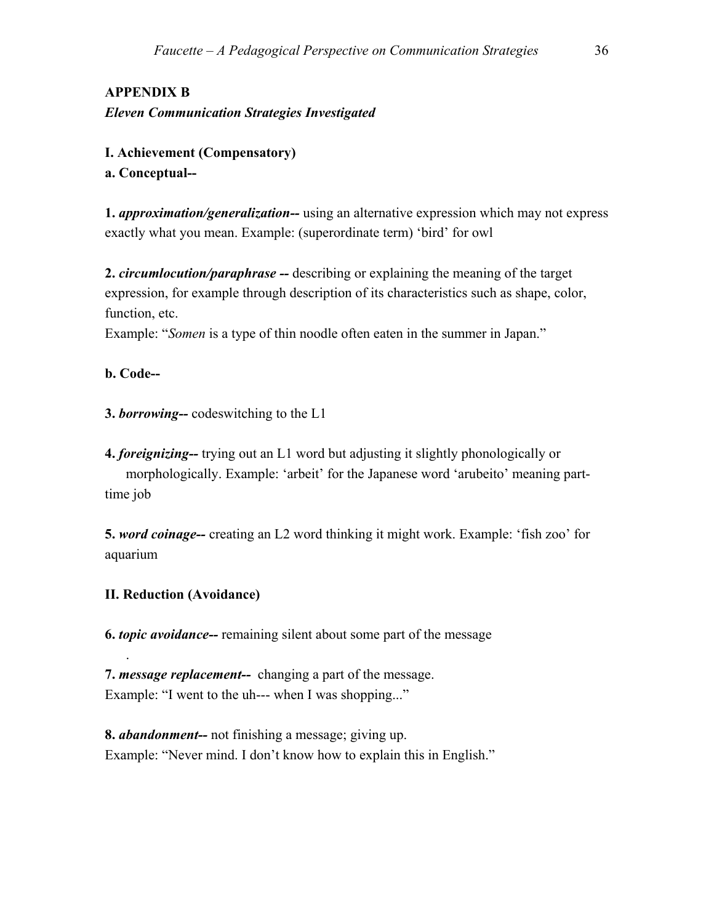## **APPENDIX B**  *Eleven Communication Strategies Investigated*

**I. Achievement (Compensatory) a. Conceptual--** 

**1.** *approximation/generalization--* using an alternative expression which may not express exactly what you mean. Example: (superordinate term) 'bird' for owl

**2.** *circumlocution/paraphrase --* describing or explaining the meaning of the target expression, for example through description of its characteristics such as shape, color, function, etc.

Example: "*Somen* is a type of thin noodle often eaten in the summer in Japan."

## **b. Code--**

.

**3.** *borrowing--* codeswitching to the L1

**4.** *foreignizing--* trying out an L1 word but adjusting it slightly phonologically or morphologically. Example: 'arbeit' for the Japanese word 'arubeito' meaning parttime job

**5.** *word coinage--* creating an L2 word thinking it might work. Example: 'fish zoo' for aquarium

### **II. Reduction (Avoidance)**

**6.** *topic avoidance--* remaining silent about some part of the message

**7.** *message replacement--* changing a part of the message. Example: "I went to the uh--- when I was shopping..."

**8.** *abandonment--* not finishing a message; giving up. Example: "Never mind. I don't know how to explain this in English."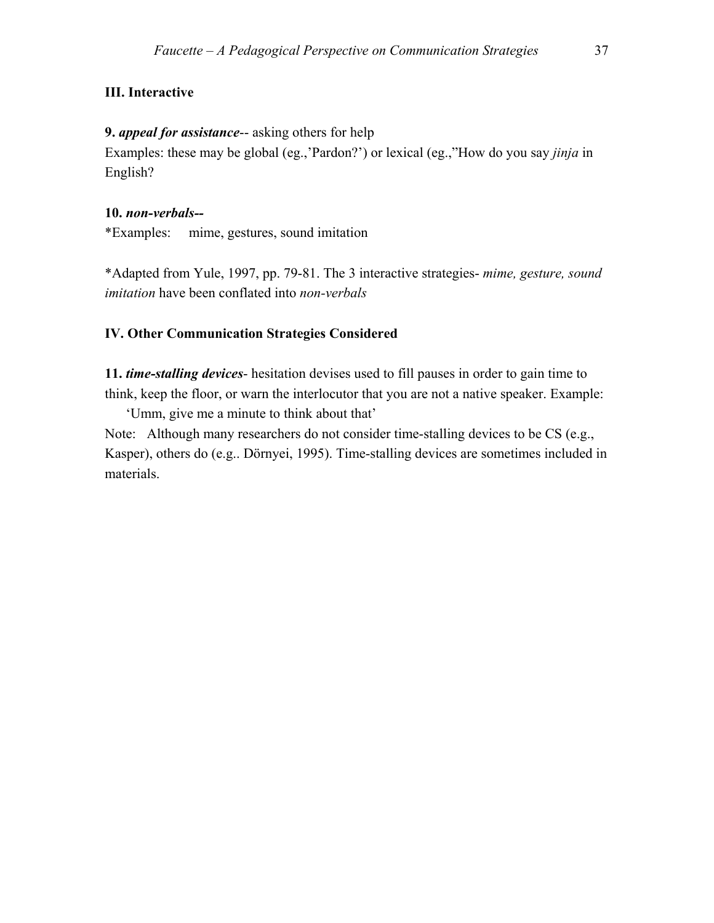## **III. Interactive**

#### **9.** *appeal for assistance*-- asking others for help

Examples: these may be global (eg.,'Pardon?') or lexical (eg.,"How do you say *jinja* in English?

#### **10.** *non-verbals--*

\*Examples: mime, gestures, sound imitation

\*Adapted from Yule, 1997, pp. 79-81. The 3 interactive strategies- *mime, gesture, sound imitation* have been conflated into *non-verbals* 

## **IV. Other Communication Strategies Considered**

**11.** *time-stalling devices*- hesitation devises used to fill pauses in order to gain time to think, keep the floor, or warn the interlocutor that you are not a native speaker. Example:

'Umm, give me a minute to think about that'

Note: Although many researchers do not consider time-stalling devices to be CS (e.g., Kasper), others do (e.g.. Dörnyei, 1995). Time-stalling devices are sometimes included in materials.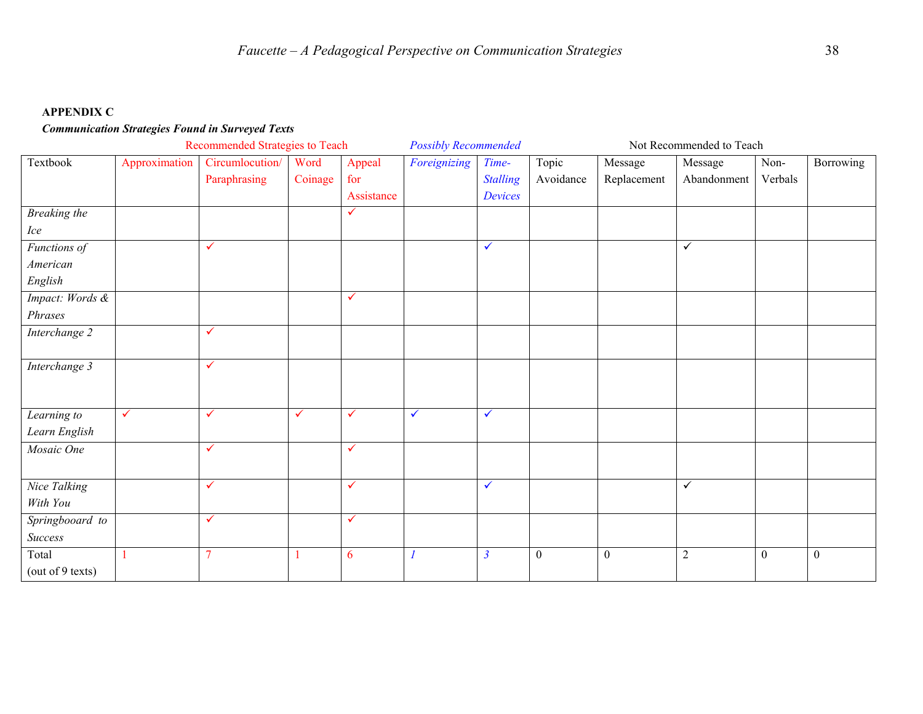#### **APPENDIX C**

### *Communication Strategies Found in Surveyed Texts*

|                  | Recommended Strategies to Teach |                 |              |              | <b>Possibly Recommended</b> |                 |              | Not Recommended to Teach |              |              |                  |  |
|------------------|---------------------------------|-----------------|--------------|--------------|-----------------------------|-----------------|--------------|--------------------------|--------------|--------------|------------------|--|
| Textbook         | Approximation                   | Circumlocution/ | Word         | Appeal       | Foreignizing                | Time-           | Topic        | Message                  | Message      | Non-         | Borrowing        |  |
|                  |                                 | Paraphrasing    | Coinage      | for          |                             | <b>Stalling</b> | Avoidance    | Replacement              | Abandonment  | Verbals      |                  |  |
|                  |                                 |                 |              | Assistance   |                             | Devices         |              |                          |              |              |                  |  |
| Breaking the     |                                 |                 |              | ✓            |                             |                 |              |                          |              |              |                  |  |
| Ice              |                                 |                 |              |              |                             |                 |              |                          |              |              |                  |  |
| Functions of     |                                 | $\checkmark$    |              |              |                             | $\checkmark$    |              |                          | $\checkmark$ |              |                  |  |
| American         |                                 |                 |              |              |                             |                 |              |                          |              |              |                  |  |
| English          |                                 |                 |              |              |                             |                 |              |                          |              |              |                  |  |
| Impact: Words &  |                                 |                 |              | $\checkmark$ |                             |                 |              |                          |              |              |                  |  |
| Phrases          |                                 |                 |              |              |                             |                 |              |                          |              |              |                  |  |
| Interchange 2    |                                 | $\checkmark$    |              |              |                             |                 |              |                          |              |              |                  |  |
|                  |                                 |                 |              |              |                             |                 |              |                          |              |              |                  |  |
| Interchange 3    |                                 | $\checkmark$    |              |              |                             |                 |              |                          |              |              |                  |  |
|                  |                                 |                 |              |              |                             |                 |              |                          |              |              |                  |  |
|                  |                                 |                 |              |              |                             |                 |              |                          |              |              |                  |  |
| Learning to      | $\checkmark$                    | $\checkmark$    | $\checkmark$ | $\checkmark$ | $\checkmark$                | $\checkmark$    |              |                          |              |              |                  |  |
| Learn English    |                                 |                 |              |              |                             |                 |              |                          |              |              |                  |  |
| Mosaic One       |                                 | $\checkmark$    |              | $\checkmark$ |                             |                 |              |                          |              |              |                  |  |
|                  |                                 |                 |              |              |                             |                 |              |                          |              |              |                  |  |
| Nice Talking     |                                 | $\checkmark$    |              | $\checkmark$ |                             | $\checkmark$    |              |                          | $\checkmark$ |              |                  |  |
| With You         |                                 |                 |              |              |                             |                 |              |                          |              |              |                  |  |
| Springbooard to  |                                 | $\checkmark$    |              | $\checkmark$ |                             |                 |              |                          |              |              |                  |  |
| Success          |                                 |                 |              |              |                             |                 |              |                          |              |              |                  |  |
| Total            |                                 | $\overline{7}$  |              | 6            | $\mathcal I$                | $\overline{3}$  | $\mathbf{0}$ | $\boldsymbol{0}$         | $\sqrt{2}$   | $\mathbf{0}$ | $\boldsymbol{0}$ |  |
| (out of 9 texts) |                                 |                 |              |              |                             |                 |              |                          |              |              |                  |  |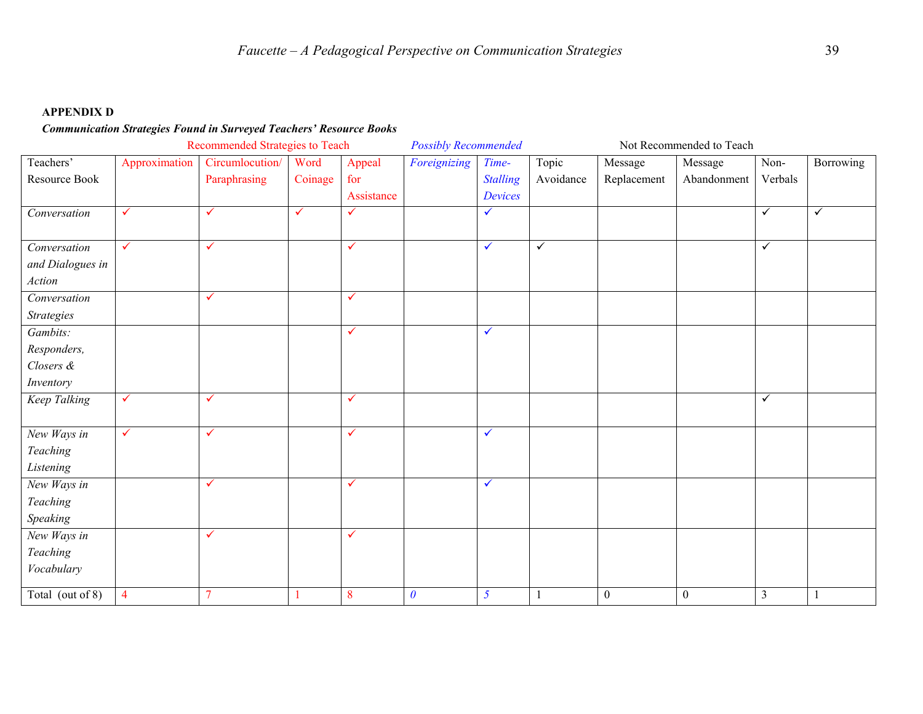#### **APPENDIX D**

#### *Communication Strategies Found in Surveyed Teachers' Resource Books*

|                   | Recommended Strategies to Teach |                 |              |              | <b>Possibly Recommended</b> |                 |              | Not Recommended to Teach |                  |                |              |
|-------------------|---------------------------------|-----------------|--------------|--------------|-----------------------------|-----------------|--------------|--------------------------|------------------|----------------|--------------|
| Teachers'         | Approximation                   | Circumlocution/ | Word         | Appeal       | Foreignizing                | Time-           | Topic        | Message                  | Message          | Non-           | Borrowing    |
| Resource Book     |                                 | Paraphrasing    | Coinage      | for          |                             | <b>Stalling</b> | Avoidance    | Replacement              | Abandonment      | Verbals        |              |
|                   |                                 |                 |              | Assistance   |                             | Devices         |              |                          |                  |                |              |
| Conversation      | $\checkmark$                    | $\checkmark$    | $\checkmark$ | $\checkmark$ |                             | $\checkmark$    |              |                          |                  | $\checkmark$   | $\checkmark$ |
|                   |                                 |                 |              |              |                             |                 |              |                          |                  |                |              |
| Conversation      | $\checkmark$                    | $\checkmark$    |              | $\checkmark$ |                             | $\checkmark$    | $\checkmark$ |                          |                  | $\checkmark$   |              |
| and Dialogues in  |                                 |                 |              |              |                             |                 |              |                          |                  |                |              |
| Action            |                                 |                 |              |              |                             |                 |              |                          |                  |                |              |
| Conversation      |                                 | $\checkmark$    |              | $\checkmark$ |                             |                 |              |                          |                  |                |              |
| <b>Strategies</b> |                                 |                 |              |              |                             |                 |              |                          |                  |                |              |
| Gambits:          |                                 |                 |              | $\checkmark$ |                             | $\checkmark$    |              |                          |                  |                |              |
| Responders,       |                                 |                 |              |              |                             |                 |              |                          |                  |                |              |
| Closers &         |                                 |                 |              |              |                             |                 |              |                          |                  |                |              |
| Inventory         |                                 |                 |              |              |                             |                 |              |                          |                  |                |              |
| Keep Talking      | $\checkmark$                    | $\checkmark$    |              | $\checkmark$ |                             |                 |              |                          |                  | $\checkmark$   |              |
|                   |                                 |                 |              |              |                             |                 |              |                          |                  |                |              |
| New Ways in       | $\checkmark$                    | $\checkmark$    |              | $\checkmark$ |                             | $\checkmark$    |              |                          |                  |                |              |
| Teaching          |                                 |                 |              |              |                             |                 |              |                          |                  |                |              |
| Listening         |                                 |                 |              |              |                             |                 |              |                          |                  |                |              |
| New Ways in       |                                 | $\checkmark$    |              | $\checkmark$ |                             | $\checkmark$    |              |                          |                  |                |              |
| Teaching          |                                 |                 |              |              |                             |                 |              |                          |                  |                |              |
| Speaking          |                                 |                 |              |              |                             |                 |              |                          |                  |                |              |
| New Ways in       |                                 | $\checkmark$    |              | $\checkmark$ |                             |                 |              |                          |                  |                |              |
| Teaching          |                                 |                 |              |              |                             |                 |              |                          |                  |                |              |
| Vocabulary        |                                 |                 |              |              |                             |                 |              |                          |                  |                |              |
| Total (out of 8)  | $\overline{4}$                  | $\overline{7}$  |              | 8            | $\boldsymbol{\theta}$       | $\mathfrak{I}$  |              | $\boldsymbol{0}$         | $\boldsymbol{0}$ | $\mathfrak{Z}$ |              |